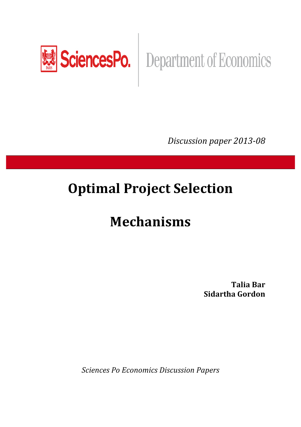

*Discussion paper 2013-08* 

# **Optimal Project Selection**

# **Mechanisms**

**Talia(Bar Sidartha Gordon** 

**Sciences Po Economics Discussion Papers**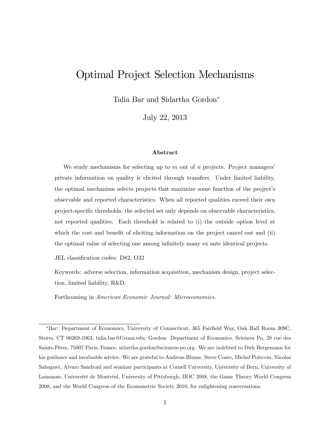# Optimal Project Selection Mechanisms

Talia Bar and Sidartha Gordon

July 22, 2013

#### Abstract

We study mechanisms for selecting up to *m* out of *n* projects. Project managers' private information on quality is elicited through transfers. Under limited liability, the optimal mechanism selects projects that maximize some function of the project's observable and reported characteristics. When all reported qualities exceed their own project-specific thresholds, the selected set only depends on observable characteristics, not reported qualities. Each threshold is related to (i) the outside option level at which the cost and benefit of eliciting information on the project cancel out and (ii) the optimal value of selecting one among infinitely many ex ante identical projects.

JEL classification codes: D82, O32

Keywords: adverse selection, information acquisition, mechanism design, project selection, limited liability, R&D.

Forthcoming in *American Economic Journal: Microeconomics.*

Bar: Department of Economics, University of Connecticut, 365 Fairfield Way, Oak Hall Room 309C, Storrs, CT 06269-1063, talia.bar@Uconn.edu; Gordon: Department of Economics, Sciences Po, 28 rue des Saints-Pères, 75007 Paris, France, sidartha.gordon@sciences-po.org. We are indebted to Dirk Bergemann for his guidance and invaluable advice. We are grateful to Andreas Blume, Steve Coate, Michel Poitevin, Nicolas Sahuguet, Alvaro Sandroni and seminar participants at Cornell University, University of Bern, University of Lausanne, Université de Montréal, University of Pittsburgh, IIOC 2008, the Game Theory World Congress 2008, and the World Congress of the Econometric Society 2010, for enlightening conversations.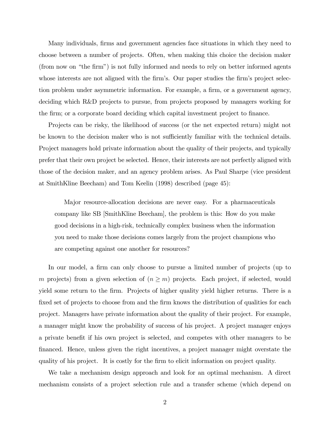Many individuals, firms and government agencies face situations in which they need to choose between a number of projects. Often, when making this choice the decision maker (from now on "the firm") is not fully informed and needs to rely on better informed agents whose interests are not aligned with the firm's. Our paper studies the firm's project selection problem under asymmetric information. For example, a firm, or a government agency, deciding which R&D projects to pursue, from projects proposed by managers working for the firm; or a corporate board deciding which capital investment project to finance.

Projects can be risky, the likelihood of success (or the net expected return) might not be known to the decision maker who is not sufficiently familiar with the technical details. Project managers hold private information about the quality of their projects, and typically prefer that their own project be selected. Hence, their interests are not perfectly aligned with those of the decision maker, and an agency problem arises. As Paul Sharpe (vice president at SmithKline Beecham) and Tom Keelin (1998) described (page 45):

Major resource-allocation decisions are never easy. For a pharmaceuticals company like SB [SmithKline Beecham], the problem is this: How do you make good decisions in a high-risk, technically complex business when the information you need to make those decisions comes largely from the project champions who are competing against one another for resources?

In our model, a firm can only choose to pursue a limited number of projects (up to *m* projects) from a given selection of  $(n \geq m)$  projects. Each project, if selected, would yield some return to the firm. Projects of higher quality yield higher returns. There is a fixed set of projects to choose from and the firm knows the distribution of qualities for each project. Managers have private information about the quality of their project. For example, a manager might know the probability of success of his project. A project manager enjoys a private benefit if his own project is selected, and competes with other managers to be financed. Hence, unless given the right incentives, a project manager might overstate the quality of his project. It is costly for the firm to elicit information on project quality.

We take a mechanism design approach and look for an optimal mechanism. A direct mechanism consists of a project selection rule and a transfer scheme (which depend on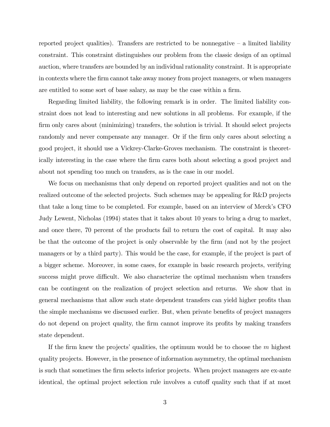reported project qualities). Transfers are restricted to be nonnegative  $-$  a limited liability constraint. This constraint distinguishes our problem from the classic design of an optimal auction, where transfers are bounded by an individual rationality constraint. It is appropriate in contexts where the firm cannot take away money from project managers, or when managers are entitled to some sort of base salary, as may be the case within a firm.

Regarding limited liability, the following remark is in order. The limited liability constraint does not lead to interesting and new solutions in all problems. For example, if the firm only cares about (minimizing) transfers, the solution is trivial. It should select projects randomly and never compensate any manager. Or if the firm only cares about selecting a good project, it should use a Vickrey-Clarke-Groves mechanism. The constraint is theoretically interesting in the case where the firm cares both about selecting a good project and about not spending too much on transfers, as is the case in our model.

We focus on mechanisms that only depend on reported project qualities and not on the realized outcome of the selected projects. Such schemes may be appealing for R&D projects that take a long time to be completed. For example, based on an interview of Merck's CFO Judy Lewent, Nicholas (1994) states that it takes about 10 years to bring a drug to market, and once there, 70 percent of the products fail to return the cost of capital. It may also be that the outcome of the project is only observable by the firm (and not by the project managers or by a third party). This would be the case, for example, if the project is part of a bigger scheme. Moreover, in some cases, for example in basic research projects, verifying success might prove difficult. We also characterize the optimal mechanism when transfers can be contingent on the realization of project selection and returns. We show that in general mechanisms that allow such state dependent transfers can yield higher profits than the simple mechanisms we discussed earlier. But, when private benefits of project managers do not depend on project quality, the firm cannot improve its profits by making transfers state dependent.

If the firm knew the projects' qualities, the optimum would be to choose the *m* highest quality projects. However, in the presence of information asymmetry, the optimal mechanism is such that sometimes the firm selects inferior projects. When project managers are ex-ante identical, the optimal project selection rule involves a cutoff quality such that if at most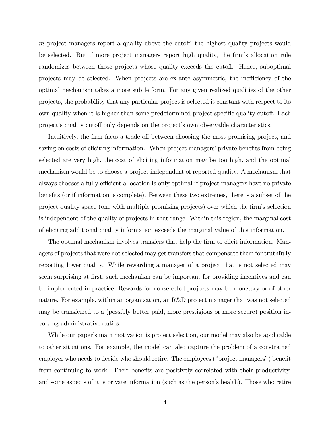*m* project managers report a quality above the cutoff, the highest quality projects would be selected. But if more project managers report high quality, the firm's allocation rule randomizes between those projects whose quality exceeds the cutoff. Hence, suboptimal projects may be selected. When projects are ex-ante asymmetric, the inefficiency of the optimal mechanism takes a more subtle form. For any given realized qualities of the other projects, the probability that any particular project is selected is constant with respect to its own quality when it is higher than some predetermined project-specific quality cutoff. Each project's quality cutoff only depends on the project's own observable characteristics.

Intuitively, the firm faces a trade-off between choosing the most promising project, and saving on costs of eliciting information. When project managers' private benefits from being selected are very high, the cost of eliciting information may be too high, and the optimal mechanism would be to choose a project independent of reported quality. A mechanism that always chooses a fully efficient allocation is only optimal if project managers have no private benefits (or if information is complete). Between these two extremes, there is a subset of the project quality space (one with multiple promising projects) over which the firm's selection is independent of the quality of projects in that range. Within this region, the marginal cost of eliciting additional quality information exceeds the marginal value of this information.

The optimal mechanism involves transfers that help the firm to elicit information. Managers of projects that were not selected may get transfers that compensate them for truthfully reporting lower quality. While rewarding a manager of a project that is not selected may seem surprising at first, such mechanism can be important for providing incentives and can be implemented in practice. Rewards for nonselected projects may be monetary or of other nature. For example, within an organization, an R&D project manager that was not selected may be transferred to a (possibly better paid, more prestigious or more secure) position involving administrative duties.

While our paper's main motivation is project selection, our model may also be applicable to other situations. For example, the model can also capture the problem of a constrained employer who needs to decide who should retire. The employees ("project managers") benefit from continuing to work. Their benefits are positively correlated with their productivity, and some aspects of it is private information (such as the person's health). Those who retire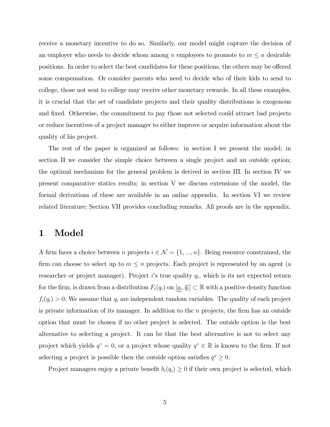receive a monetary incentive to do so. Similarly, our model might capture the decision of an employer who needs to decide whom among *n* employees to promote to  $m \leq n$  desirable positions. In order to select the best candidates for these positions, the others may be offered some compensation. Or consider parents who need to decide who of their kids to send to college, those not sent to college may receive other monetary rewards. In all these examples, it is crucial that the set of candidate projects and their quality distributions is exogenous and fixed. Otherwise, the commitment to pay those not selected could attract bad projects or reduce incentives of a project manager to either improve or acquire information about the quality of his project.

The rest of the paper is organized as follows: in section I we present the model; in section II we consider the simple choice between a single project and an outside option; the optimal mechanism for the general problem is derived in section III. In section IV we present comparative statics results; in section V we discuss extensions of the model, the formal derivations of these are available in an online appendix. In section VI we review related literature; Section VII provides concluding remarks. All proofs are in the appendix.

# 1 Model

A firm faces a choice between *n* projects  $i \in \mathcal{N} = \{1, ..., n\}$ . Being resource constrained, the firm can choose to select up to  $m \leq n$  projects. Each project is represented by an agent (a researcher or project manager). Project *i*'s true quality *qi,* which is its net expected return for the firm, is drawn from a distribution  $F_i(q_i)$  on  $[q_i, \overline{q_i}] \subset \mathbb{R}$  with a positive density function  $f_i(q_i) > 0$ . We assume that  $q_i$  are independent random variables. The quality of each project is private information of its manager. In addition to the *n* projects, the firm has an outside option that must be chosen if no other project is selected. The outside option is the best alternative to selecting a project. It can be that the best alternative is not to select any project which yields  $q^{\circ} = 0$ , or a project whose quality  $q^{\circ} \in \mathbb{R}$  is known to the firm. If not selecting a project is possible then the outside option satisfies  $q^o \geq 0$ .

Project managers enjoy a private benefit  $b_i(q_i) \geq 0$  if their own project is selected, which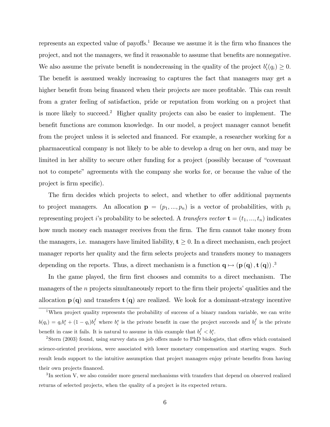represents an expected value of payoffs.<sup>1</sup> Because we assume it is the firm who finances the project, and not the managers, we find it reasonable to assume that benefits are nonnegative. We also assume the private benefit is nondecreasing in the quality of the project  $b_i'(q_i) \geq 0$ . The benefit is assumed weakly increasing to captures the fact that managers may get a higher benefit from being financed when their projects are more profitable. This can result from a grater feeling of satisfaction, pride or reputation from working on a project that is more likely to succeed.2 Higher quality projects can also be easier to implement. The benefit functions are common knowledge. In our model, a project manager cannot benefit from the project unless it is selected and financed. For example, a researcher working for a pharmaceutical company is not likely to be able to develop a drug on her own, and may be limited in her ability to secure other funding for a project (possibly because of "covenant not to compete" agreements with the company she works for, or because the value of the project is firm specific).

The firm decides which projects to select, and whether to offer additional payments to project managers. An allocation  $\mathbf{p} = (p_1, ..., p_n)$  is a vector of probabilities, with  $p_i$ representing project *i*'s probability to be selected. A *transfers vector*  $\mathbf{t} = (t_1, ..., t_n)$  indicates how much money each manager receives from the firm. The firm cannot take money from the managers, i.e. managers have limited liability,  $t \geq 0$ . In a direct mechanism, each project manager reports her quality and the firm selects projects and transfers money to managers depending on the reports. Thus, a direct mechanism is a function  $\mathbf{q} \mapsto (\mathbf{p}(\mathbf{q}), \mathbf{t}(\mathbf{q}))$ .<sup>3</sup>

In the game played, the firm first chooses and commits to a direct mechanism. The managers of the *n* projects simultaneously report to the firm their projects' qualities and the allocation  $p(q)$  and transfers  $t(q)$  are realized. We look for a dominant-strategy incentive

<sup>3</sup>In section V, we also consider more general mechanisms with transfers that depend on observed realized returns of selected projects, when the quality of a project is its expected return.

<sup>&</sup>lt;sup>1</sup>When project quality represents the probability of success of a binary random variable, we can write  $b(q_i) = q_i b_i^s + (1 - q_i) b_i^f$  where  $b_i^s$  is the private benefit in case the project succeeds and  $b_i^f$  is the private benefit in case it fails. It is natural to assume in this example that  $b_i^f < b_i^s$ .

 $2$ Stern (2003) found, using survey data on job offers made to PhD biologists, that offers which contained science-oriented provisions, were associated with lower monetary compensation and starting wages. Such result lends support to the intuitive assumption that project managers enjoy private benefits from having their own projects financed.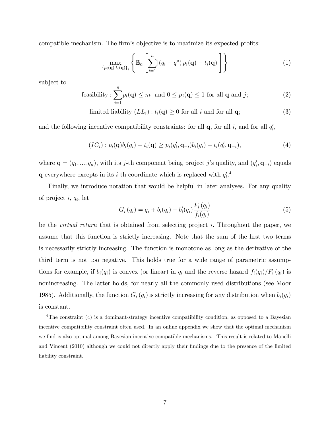compatible mechanism. The firm's objective is to maximize its expected profits:

$$
\max_{\{p_i(\mathbf{q}), t_i(\mathbf{q})\}_i} \left\{ \mathbb{E}_{\mathbf{q}} \left[ \sum_{i=1}^n [(q_i - q^{\circ}) p_i(\mathbf{q}) - t_i(\mathbf{q})] \right] \right\} \tag{1}
$$

subject to

feasibility: 
$$
\sum_{i=1}^{n} p_i(\mathbf{q}) \leq m \text{ and } 0 \leq p_j(\mathbf{q}) \leq 1 \text{ for all } \mathbf{q} \text{ and } j;
$$
 (2)

limited liability 
$$
(LL_i): t_i(\mathbf{q}) \ge 0
$$
 for all *i* and for all **q**;  $(3)$ 

and the following incentive compatibility constraints: for all  $\mathbf{q}$ , for all *i*, and for all  $q_i'$ ,

$$
(IC_i): p_i(\mathbf{q})b_i(q_i) + t_i(\mathbf{q}) \geq p_i(q'_i, \mathbf{q}_{-i})b_i(q_i) + t_i(q'_i, \mathbf{q}_{-i}),
$$
\n(4)

where  $\mathbf{q} = (q_1, ..., q_n)$ , with its *j*-th component being project *j*'s quality, and  $(q'_i, \mathbf{q}_{-i})$  equals **q** everywhere excepts in its *i*-th coordinate which is replaced with  $q_i^{\prime}$ .<sup>4</sup>

Finally, we introduce notation that would be helpful in later analyses. For any quality of project *i, qi*, let

$$
G_i(q_i) = q_i + b_i(q_i) + b'_i(q_i) \frac{F_i(q_i)}{f_i(q_i)}
$$
\n(5)

be the *virtual return* that is obtained from selecting project *i.* Throughout the paper, we assume that this function is strictly increasing. Note that the sum of the first two terms is necessarily strictly increasing. The function is monotone as long as the derivative of the third term is not too negative. This holds true for a wide range of parametric assumptions for example, if  $b_i(q_i)$  is convex (or linear) in  $q_i$  and the reverse hazard  $f_i(q_i)/F_i(q_i)$  is nonincreasing. The latter holds, for nearly all the commonly used distributions (see Moor 1985). Additionally, the function  $G_i(q_i)$  is strictly increasing for any distribution when  $b_i(q_i)$ is constant.

<sup>&</sup>lt;sup>4</sup>The constraint (4) is a dominant-strategy incentive compatibility condition, as opposed to a Bayesian incentive compatibility constraint often used. In an online appendix we show that the optimal mechanism we find is also optimal among Bayesian incentive compatible mechanisms. This result is related to Manelli and Vincent (2010) although we could not directly apply their findings due to the presence of the limited liability constraint.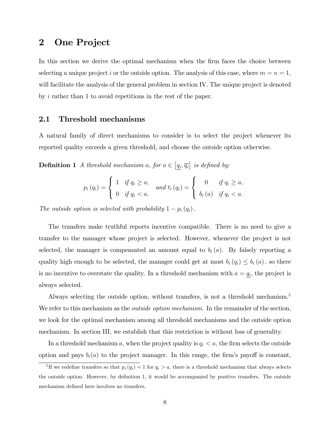# 2 One Project

In this section we derive the optimal mechanism when the firm faces the choice between selecting a unique project *i* or the outside option. The analysis of this case, where  $m = n = 1$ , will facilitate the analysis of the general problem in section IV. The unique project is denoted by *i* rather than 1 to avoid repetitions in the rest of the paper.

#### 2.1 Threshold mechanisms

A natural family of direct mechanisms to consider is to select the project whenever its reported quality exceeds a given threshold, and choose the outside option otherwise.

**Definition 1** *A* threshold mechanism *a*, for  $a \in [q_i, \overline{q_i}]$  is defined by:

$$
p_i(q_i) = \begin{cases} 1 & \text{if } q_i \ge a, \\ 0 & \text{if } q_i < a. \end{cases} \quad \text{and } t_i(q_i) = \begin{cases} 0 & \text{if } q_i \ge a, \\ b_i(a) & \text{if } q_i < a. \end{cases}
$$

*The outside option is selected with probability*  $1 - p_i(q_i)$ .

The transfers make truthful reports incentive compatible. There is no need to give a transfer to the manager whose project is selected. However, whenever the project is not selected, the manager is compensated an amount equal to  $b_i(a)$ . By falsely reporting a quality high enough to be selected, the manager could get at most  $b_i(q_i) \leq b_i(q_i)$ , so there is no incentive to overstate the quality. In a threshold mechanism with  $a = q_i$ , the project is always selected.

Always selecting the outside option, without transfers, is not a threshold mechanism.<sup>5</sup> We refer to this mechanism as the *outside option mechanism*. In the remainder of the section, we look for the optimal mechanism among all threshold mechanisms and the outside option mechanism. In section III, we establish that this restriction is without loss of generality.

In a threshold mechanism  $a$ , when the project quality is  $q_i < a$ , the firm selects the outside option and pays  $b_i(a)$  to the project manager. In this range, the firm's payoff is constant,

<sup>&</sup>lt;sup>5</sup>If we redefine transfers so that  $p_i(q_i) = 1$  for  $q_i > a$ , there is a threshold mechanism that always selects the outside option. However, by definition 1, it would be accompanied by positive transfers. The outside mechanism defined here involves no transfers.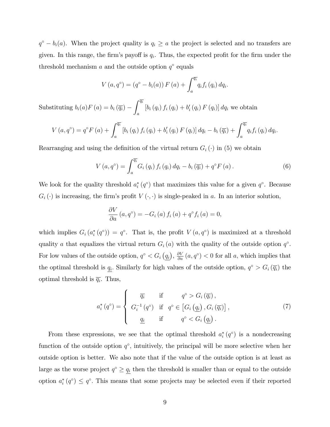$q^{\circ} - b_i(a)$ . When the project quality is  $q_i \ge a$  the project is selected and no transfers are given. In this range, the firm's payoff is  $q_i$ . Thus, the expected profit for the firm under the threshold mechanism  $a$  and the outside option  $q^{\circ}$  equals

$$
V(a,q^{\circ}) = (q^{\circ} - b_i(a)) F(a) + \int_a^{\overline{q_i}} q_i f_i(q_i) dq_i.
$$

Substituting  $b_i(a)F(a) = b_i(\overline{q_i}) \int \overline{q_i}$ *a*  $[b_i(q_i) f_i(q_i) + b'_i(q_i) F(q_i)] dq_i$  we obtain

$$
V\left(a,q^{\circ}\right)=q^{\circ}F\left(a\right)+\int_{a}^{\overline{q_i}}\left[b_i\left(q_i\right)f_i\left(q_i\right)+b_i'\left(q_i\right)F\left(q_i\right)\right]dq_i-b_i\left(\overline{q_i}\right)+\int_{a}^{\overline{q_i}}q_if_i\left(q_i\right)dq_i.
$$

Rearranging and using the definition of the virtual return  $G_i(\cdot)$  in (5) we obtain

$$
V\left(a,q^{\circ}\right) = \int_{a}^{\overline{q_i}} G_i\left(q_i\right) f_i\left(q_i\right) dq_i - b_i\left(\overline{q_i}\right) + q^{\circ} F\left(a\right). \tag{6}
$$

We look for the quality threshold  $a_i^*(q^{\circ})$  that maximizes this value for a given  $q^{\circ}$ . Because  $G_i(\cdot)$  is increasing, the firm's profit  $V(\cdot, \cdot)$  is single-peaked in *a*. In an interior solution,

$$
\frac{\partial V}{\partial a}(a,q^{\circ}) = -G_i(a) f_i(a) + q^{\circ} f_i(a) = 0,
$$

which implies  $G_i(a_i^*(q^{\circ})) = q^{\circ}$ . That is, the profit  $V(a,q^{\circ})$  is maximized at a threshold quality *a* that equalizes the virtual return  $G_i(a)$  with the quality of the outside option  $q^{\circ}$ . For low values of the outside option,  $q^{\circ} < G_i(q_i)$ ,  $\frac{\partial V}{\partial a}(a, q^{\circ}) < 0$  for all *a*, which implies that the optimal threshold is  $q_i$ . Similarly for high values of the outside option,  $q^{\circ} > G_i(\overline{q_i})$  the optimal threshold is  $\overline{q_i}$ . Thus,

$$
a_i^*(q^\circ) = \begin{cases} \overline{q_i} & \text{if } q^\circ > G_i(\overline{q_i}), \\ G_i^{-1}(q^\circ) & \text{if } q^\circ \in \left[G_i\left(\underline{q_i}\right), G_i\left(\overline{q_i}\right)\right], \\ \underline{q_i} & \text{if } q^\circ < G_i\left(\underline{q_i}\right). \end{cases} \tag{7}
$$

From these expressions, we see that the optimal threshold  $a_i^*(q^{\circ})$  is a nondecreasing function of the outside option  $q^{\circ}$ , intuitively, the principal will be more selective when her outside option is better. We also note that if the value of the outside option is at least as large as the worse project  $q^{\circ} \geq \underline{q_i}$  then the threshold is smaller than or equal to the outside option  $a_i^*(q^{\circ}) \leq q^{\circ}$ . This means that some projects may be selected even if their reported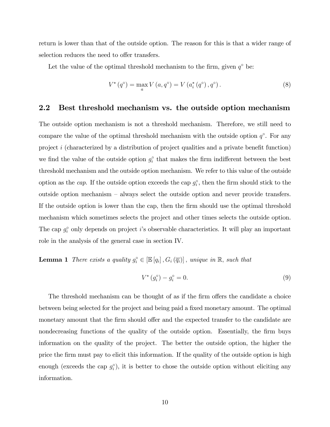return is lower than that of the outside option. The reason for this is that a wider range of selection reduces the need to offer transfers.

Let the value of the optimal threshold mechanism to the firm, given  $q^{\circ}$  be:

$$
V^* (q^{\circ}) = \max_{a} V (a, q^{\circ}) = V (a_i^* (q^{\circ}), q^{\circ}).
$$
 (8)

### 2.2 Best threshold mechanism vs. the outside option mechanism

The outside option mechanism is not a threshold mechanism. Therefore, we still need to compare the value of the optimal threshold mechanism with the outside option  $q^{\circ}$ . For any project *i* (characterized by a distribution of project qualities and a private benefit function) we find the value of the outside option  $g_i^{\circ}$  that makes the firm indifferent between the best threshold mechanism and the outside option mechanism. We refer to this value of the outside option as the *cap*. If the outside option exceeds the cap  $g_i^{\circ}$ , then the firm should stick to the outside option mechanism — always select the outside option and never provide transfers. If the outside option is lower than the cap, then the firm should use the optimal threshold mechanism which sometimes selects the project and other times selects the outside option. The cap  $g_i^{\circ}$  only depends on project *i*'s observable characteristics. It will play an important role in the analysis of the general case in section IV.

**Lemma 1** *There exists a quality*  $g_i^{\circ} \in [\mathbb{E}[q_i], G_i(\overline{q_i})]$ , *unique in* R, *such that* 

$$
V^* (g_i^{\circ}) - g_i^{\circ} = 0. \tag{9}
$$

The threshold mechanism can be thought of as if the firm offers the candidate a choice between being selected for the project and being paid a fixed monetary amount. The optimal monetary amount that the firm should offer and the expected transfer to the candidate are nondecreasing functions of the quality of the outside option. Essentially, the firm buys information on the quality of the project. The better the outside option, the higher the price the firm must pay to elicit this information. If the quality of the outside option is high enough (exceeds the cap  $g_i^{\circ}$ ), it is better to chose the outside option without eliciting any information.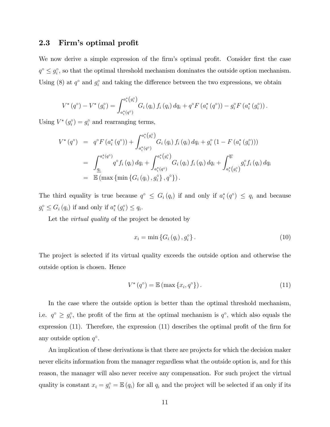#### 2.3 Firm's optimal profit

We now derive a simple expression of the firm's optimal profit. Consider first the case  $q^{\circ} \leq q_i^{\circ}$ , so that the optimal threshold mechanism dominates the outside option mechanism. Using (8) at  $q^{\circ}$  and  $g_i^{\circ}$  and taking the difference between the two expressions, we obtain

$$
V^*(q^{\circ}) - V^*(g_i^{\circ}) = \int_{a_i^*(q^{\circ})}^{a_i^*(g_i^{\circ})} G_i(q_i) f_i(q_i) dq_i + q^{\circ} F(a_i^*(q^{\circ})) - g_i^{\circ} F(a_i^*(g_i^{\circ})) .
$$

Using  $V^*(g_i^{\circ}) = g_i^{\circ}$  and rearranging terms,

$$
V^*(q^{\circ}) = q^{\circ} F(a_i^*(q^{\circ})) + \int_{a_i^*(q^{\circ})}^{a_i^*(g_i^{\circ})} G_i(q_i) f_i(q_i) dq_i + g_i^{\circ} (1 - F(a_i^*(g_i^{\circ})))
$$
  
\n
$$
= \int_{\underline{q_i}}^{a_i^*(q^{\circ})} q^{\circ} f_i(q_i) dq_i + \int_{a_i^*(q^{\circ})}^{a_i^*(g_i^{\circ})} G_i(q_i) f_i(q_i) dq_i + \int_{a_i^*(g_i^{\circ})}^{\overline{q_i}} g_i^{\circ} f_i(q_i) dq_i
$$
  
\n
$$
= \mathbb{E} (\max \{ \min \{ G_i(q_i), g_i^{\circ} \}, q^{\circ} \}).
$$

The third equality is true because  $q^{\circ} \leq G_i(q_i)$  if and only if  $a_i^*(q^{\circ}) \leq q_i$  and because  $g_i^{\circ} \le G_i(q_i)$  if and only if  $a_i^*(g_i^{\circ}) \le q_i$ .

Let the *virtual quality* of the project be denoted by

$$
x_i = \min\left\{G_i\left(q_i\right), g_i^{\circ}\right\}.\tag{10}
$$

The project is selected if its virtual quality exceeds the outside option and otherwise the outside option is chosen. Hence

$$
V^*(q^{\circ}) = \mathbb{E}\left(\max\left\{x_i, q^{\circ}\right\}\right). \tag{11}
$$

In the case where the outside option is better than the optimal threshold mechanism, i.e.  $q^{\circ} \ge q_i^{\circ}$ , the profit of the firm at the optimal mechanism is  $q^{\circ}$ , which also equals the expression (11). Therefore, the expression (11) describes the optimal profit of the firm for any outside option  $q^{\circ}$ .

An implication of these derivations is that there are projects for which the decision maker never elicits information from the manager regardless what the outside option is, and for this reason, the manager will also never receive any compensation. For such project the virtual quality is constant  $x_i = g_i^{\circ} = \mathbb{E}(q_i)$  for all  $q_i$  and the project will be selected if an only if its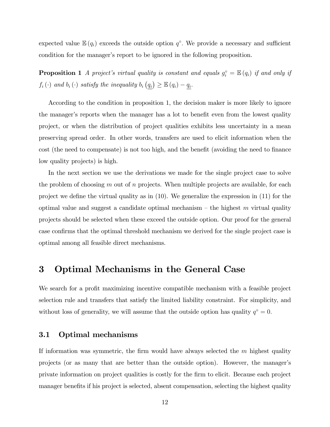expected value  $\mathbb{E}(q_i)$  exceeds the outside option  $q^{\circ}$ . We provide a necessary and sufficient condition for the manager's report to be ignored in the following proposition.

**Proposition 1** *A project's virtual quality is constant and equals*  $g_i^{\circ} = \mathbb{E}(q_i)$  *if and only if*  $f_i(\cdot)$  *and*  $b_i(\cdot)$  *satisfy the inequality*  $b_i(q_i) \geq \mathbb{E}(q_i) - \underline{q_i}$ .

According to the condition in proposition 1, the decision maker is more likely to ignore the manager's reports when the manager has a lot to benefit even from the lowest quality project, or when the distribution of project qualities exhibits less uncertainty in a mean preserving spread order. In other words, transfers are used to elicit information when the cost (the need to compensate) is not too high, and the benefit (avoiding the need to finance low quality projects) is high.

In the next section we use the derivations we made for the single project case to solve the problem of choosing *m* out of *n* projects. When multiple projects are available, for each project we define the virtual quality as in (10). We generalize the expression in (11) for the optimal value and suggest a candidate optimal mechanism — the highest *m* virtual quality projects should be selected when these exceed the outside option. Our proof for the general case confirms that the optimal threshold mechanism we derived for the single project case is optimal among all feasible direct mechanisms.

### 3 Optimal Mechanisms in the General Case

We search for a profit maximizing incentive compatible mechanism with a feasible project selection rule and transfers that satisfy the limited liability constraint. For simplicity, and without loss of generality, we will assume that the outside option has quality  $q^{\circ} = 0$ .

### 3.1 Optimal mechanisms

If information was symmetric, the firm would have always selected the *m* highest quality projects (or as many that are better than the outside option). However, the manager's private information on project qualities is costly for the firm to elicit. Because each project manager benefits if his project is selected, absent compensation, selecting the highest quality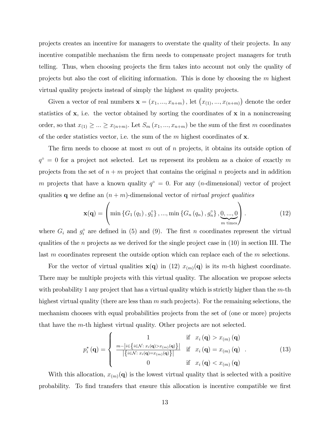projects creates an incentive for managers to overstate the quality of their projects. In any incentive compatible mechanism the firm needs to compensate project managers for truth telling. Thus, when choosing projects the firm takes into account not only the quality of projects but also the cost of eliciting information. This is done by choosing the *m* highest virtual quality projects instead of simply the highest *m* quality projects.

Given a vector of real numbers  $\mathbf{x} = (x_1, ..., x_{n+m})$ , let  $(x_{(1)}, ..., x_{(n+m)})$  denote the order statistics of  $x$ , i.e. the vector obtained by sorting the coordinates of  $x$  in a nonincreasing order, so that  $x_{(1)} \geq ... \geq x_{(n+m)}$ . Let  $S_m(x_1, ..., x_{n+m})$  be the sum of the first *m* coordinates of the order statistics vector, i.e. the sum of the *m* highest coordinates of x*.*

The firm needs to choose at most *m* out of *n* projects, it obtains its outside option of  $q^{\circ} = 0$  for a project not selected. Let us represent its problem as a choice of exactly m projects from the set of  $n + m$  project that contains the original  $n$  projects and in addition *m* projects that have a known quality  $q^{\circ} = 0$ . For any (*n*-dimensional) vector of project qualities q we define an (*n* + *m*)-dimensional vector of *virtual project qualities*

$$
\mathbf{x}(\mathbf{q}) = \left(\min\left\{G_1(q_1), g_1^{\circ}\right\}, \dots, \min\left\{G_n(q_n), g_n^{\circ}\right\}, \underbrace{0, \dots, 0}_{m \text{ times}}\right). \tag{12}
$$

where  $G_i$  and  $g_i^{\circ}$  are defined in (5) and (9). The first *n* coordinates represent the virtual qualities of the *n* projects as we derived for the single project case in (10) in section III. The last *m* coordinates represent the outside option which can replace each of the *m* selections.

For the vector of virtual qualities  $\mathbf{x}(\mathbf{q})$  in (12)  $x_{(m)}(\mathbf{q})$  is its *m*-th highest coordinate. There may be multiple projects with this virtual quality. The allocation we propose selects with probability 1 any project that has a virtual quality which is strictly higher than the *m*-th highest virtual quality (there are less than *m* such projects). For the remaining selections, the mechanism chooses with equal probabilities projects from the set of (one or more) projects that have the *m*-th highest virtual quality. Other projects are not selected.

$$
p_i^{\ast}(\mathbf{q}) = \begin{cases} 1 & \text{if } x_i(\mathbf{q}) > x_{(m)}(\mathbf{q}) \\ \frac{m - |i \in \{i \in \mathcal{N} : x_i(\mathbf{q}) > x_{(m)}(\mathbf{q})\}|}{|\{i \in \mathcal{N} : x_i(\mathbf{q}) = x_{(m)}(\mathbf{q})\}|} & \text{if } x_i(\mathbf{q}) = x_{(m)}(\mathbf{q}) \\ 0 & \text{if } x_i(\mathbf{q}) < x_{(m)}(\mathbf{q}) \end{cases} (13)
$$

With this allocation,  $x_{(m)}(q)$  is the lowest virtual quality that is selected with a positive probability. To find transfers that ensure this allocation is incentive compatible we first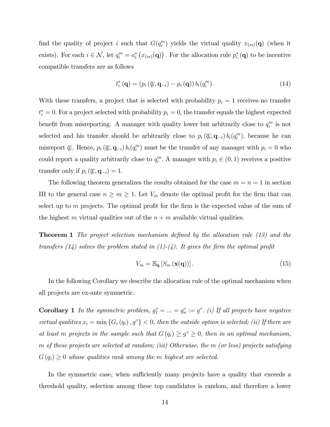find the quality of project *i* such that  $G(q_i^m)$  yields the virtual quality  $x_{(m)}(q)$  (when it exists). For each  $i \in \mathcal{N}$ , let  $q_i^m = a_i^* (x_{(m)}(\mathbf{q}))$ . For the allocation rule  $p_i^* (\mathbf{q})$  to be incentive compatible transfers are as follows

$$
t_i^* \left( \mathbf{q} \right) = \left( p_i \left( \overline{q_i}, \mathbf{q}_{-i} \right) - p_i \left( \mathbf{q} \right) \right) b_i(q_i^m). \tag{14}
$$

With these transfers, a project that is selected with probability  $p_i = 1$  receives no transfer  $t_i^* = 0$ . For a project selected with probability  $p_i = 0$ , the transfer equals the highest expected benefit from misreporting. A manager with quality lower but arbitrarily close to  $q_i^m$  is not selected and his transfer should be arbitrarily close to  $p_i(\overline{q_i}, \mathbf{q}_{-i}) b_i(q_i^m)$ , because he can misreport  $\overline{q_i}$ . Hence,  $p_i(\overline{q_i}, \mathbf{q}_{-i})$   $b_i(q_i^m)$  must be the transfer of any manager with  $p_i = 0$  who could report a quality arbitrarily close to  $q_i^m$ . A manager with  $p_i \in (0,1)$  receives a positive transfer only if  $p_i(\overline{q_i}, \mathbf{q}_{-i}) = 1$ .

The following theorem generalizes the results obtained for the case  $m = n = 1$  in section III to the general case  $n \geq m \geq 1$ . Let  $V_m$  denote the optimal profit for the firm that can select up to *m* projects. The optimal profit for the firm is the expected value of the sum of the highest *m* virtual qualities out of the  $n + m$  available virtual qualities.

Theorem 1 *The project selection mechanism defined by the allocation rule (13) and the transfers (14) solves the problem stated in (1)-(4). It gives the firm the optimal profit*

$$
V_m = \mathbb{E}_{\mathbf{q}} \left[ S_m \left( \mathbf{x}(\mathbf{q}) \right) \right]. \tag{15}
$$

In the following Corollary we describe the allocation rule of the optimal mechanism when all projects are ex-ante symmetric.

**Corollary 1** In the symmetric problem,  $g_1^\circ = ... = g_n^\circ := g^\circ$ . (i) If all projects have negative *virtual qualities*  $x_i = \min \{ G_i(q_i), g^{\circ} \} < 0$ , then the outside option is selected; (ii) If there are *at least m projects in the sample such that*  $G(q_i) \geq g^{\circ} \geq 0$ , *then in an optimal mechanism*, *m of these projects are selected at random; (iii) Otherwise, the m (or less) projects satisfying*  $G(q_i) \geq 0$  *whose qualities rank among the m highest are selected.* 

In the symmetric case, when sufficiently many projects have a quality that exceeds a threshold quality, selection among these top candidates is random, and therefore a lower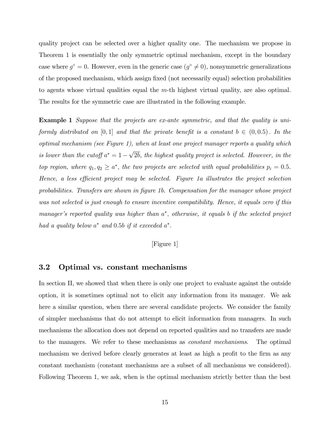quality project can be selected over a higher quality one. The mechanism we propose in Theorem 1 is essentially the only symmetric optimal mechanism, except in the boundary case where  $g^{\circ} = 0$ . However, even in the generic case  $(g^{\circ} \neq 0)$ , nonsymmetric generalizations of the proposed mechanism, which assign fixed (not necessarily equal) selection probabilities to agents whose virtual qualities equal the *m*-th highest virtual quality, are also optimal. The results for the symmetric case are illustrated in the following example.

Example 1 *Suppose that the projects are ex-ante symmetric, and that the quality is uniformly distributed on* [0,1] *and that the private benefit is a constant*  $b \in (0, 0.5)$ *. In the optimal mechanism (see Figure 1), when at least one project manager reports a quality which is lower than the cutoff*  $a^* = 1 - \sqrt{2b}$ *, the highest quality project is selected. However, in the top region, where*  $q_1, q_2 \geq a^*$ , the two projects are selected with equal probabilities  $p_i = 0.5$ . *Hence, a less e*¢*cient project may be selected. Figure 1a illustrates the project selection probabilities. Transfers are shown in figure 1b. Compensation for the manager whose project was not selected is just enough to ensure incentive compatibility. Hence, it equals zero if this manager's reported quality was higher than a, otherwise, it equals b if the selected project had a quality below*  $a^*$  *and* 0.5*b if it exceeded*  $a^*$ .

#### [Figure 1]

#### 3.2 Optimal vs. constant mechanisms

In section II, we showed that when there is only one project to evaluate against the outside option, it is sometimes optimal not to elicit any information from its manager. We ask here a similar question, when there are several candidate projects. We consider the family of simpler mechanisms that do not attempt to elicit information from managers. In such mechanisms the allocation does not depend on reported qualities and no transfers are made to the managers. We refer to these mechanisms as *constant mechanisms*. The optimal mechanism we derived before clearly generates at least as high a profit to the firm as any constant mechanism (constant mechanisms are a subset of all mechanisms we considered). Following Theorem 1, we ask, when is the optimal mechanism strictly better than the best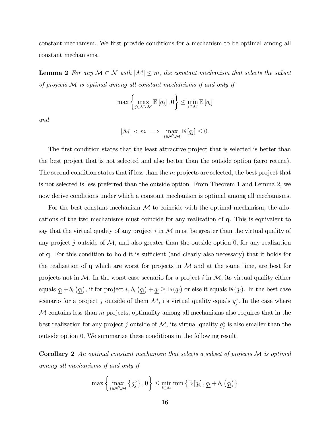constant mechanism. We first provide conditions for a mechanism to be optimal among all constant mechanisms.

**Lemma 2** For any  $M \subset \mathcal{N}$  with  $|M| \leq m$ , the constant mechanism that selects the subset *of projects* M *is optimal among all constant mechanisms if and only if*

$$
\max\left\{\max_{j\in\mathcal{N}\setminus\mathcal{M}}\mathbb{E}\left[q_j\right],0\right\}\leq\min_{i\in\mathcal{M}}\mathbb{E}\left[q_i\right]
$$

*and*

$$
|\mathcal{M}| < m \implies \max_{j \in \mathcal{N} \setminus \mathcal{M}} \mathbb{E}\left[q_j\right] \leq 0.
$$

The first condition states that the least attractive project that is selected is better than the best project that is not selected and also better than the outside option (zero return). The second condition states that if less than the *m* projects are selected, the best project that is not selected is less preferred than the outside option. From Theorem 1 and Lemma 2, we now derive conditions under which a constant mechanism is optimal among all mechanisms.

For the best constant mechanism  $\mathcal M$  to coincide with the optimal mechanism, the allocations of the two mechanisms must coincide for any realization of q. This is equivalent to say that the virtual quality of any project  $i$  in  $\mathcal M$  must be greater than the virtual quality of any project  $j$  outside of  $M$ , and also greater than the outside option  $0$ , for any realization of q. For this condition to hold it is sufficient (and clearly also necessary) that it holds for the realization of  $q$  which are worst for projects in  $M$  and at the same time, are best for projects not in  $M$ . In the worst case scenario for a project  $i$  in  $M$ , its virtual quality either equals  $q_i + b_i (q_i)$ , if for project *i*,  $b_i (q_i) + q_i \geq \mathbb{E}(q_i)$  or else it equals  $\mathbb{E}(q_i)$ . In the best case scenario for a project *j* outside of them  $M$ , its virtual quality equals  $g_j^{\circ}$ . In the case where M contains less than *m* projects, optimality among all mechanisms also requires that in the best realization for any project *j* outside of  $M$ , its virtual quality  $g_j^{\circ}$  is also smaller than the outside option 0*.* We summarize these conditions in the following result.

Corollary 2 *An optimal constant mechanism that selects a subset of projects* M *is optimal among all mechanisms if and only if*

$$
\max\left\{\max_{j\in\mathcal{N}\setminus\mathcal{M}}\left\{g_j^{\circ}\right\},0\right\} \leq \min_{i\in\mathcal{M}}\min\left\{\mathbb{E}\left[q_i\right],\underline{q_i} + b_i\left(\underline{q_i}\right)\right\}
$$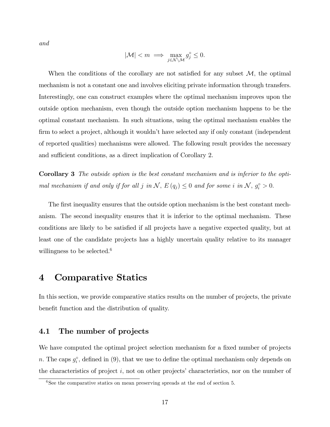*and*

$$
|\mathcal{M}| < m \implies \max_{j \in \mathcal{N} \setminus \mathcal{M}} g_j^\circ \le 0.
$$

When the conditions of the corollary are not satisfied for any subset M*,* the optimal mechanism is not a constant one and involves eliciting private information through transfers. Interestingly, one can construct examples where the optimal mechanism improves upon the outside option mechanism, even though the outside option mechanism happens to be the optimal constant mechanism. In such situations, using the optimal mechanism enables the firm to select a project, although it wouldn't have selected any if only constant (independent of reported qualities) mechanisms were allowed. The following result provides the necessary and sufficient conditions, as a direct implication of Corollary 2.

Corollary 3 *The outside option is the best constant mechanism and is inferior to the optimal mechanism if and only if for all j in*  $\mathcal{N}$ ,  $E(q_j) \leq 0$  *and for some i in*  $\mathcal{N}$ ,  $g_i^{\circ} > 0$ .

The first inequality ensures that the outside option mechanism is the best constant mechanism. The second inequality ensures that it is inferior to the optimal mechanism. These conditions are likely to be satisfied if all projects have a negative expected quality, but at least one of the candidate projects has a highly uncertain quality relative to its manager willingness to be selected.<sup>6</sup>

# 4 Comparative Statics

In this section, we provide comparative statics results on the number of projects, the private benefit function and the distribution of quality.

#### 4.1 The number of projects

We have computed the optimal project selection mechanism for a fixed number of projects *n*. The caps  $g_i^{\circ}$ , defined in (9), that we use to define the optimal mechanism only depends on the characteristics of project *i,* not on other projects' characteristics, nor on the number of

 $6$ See the comparative statics on mean preserving spreads at the end of section 5.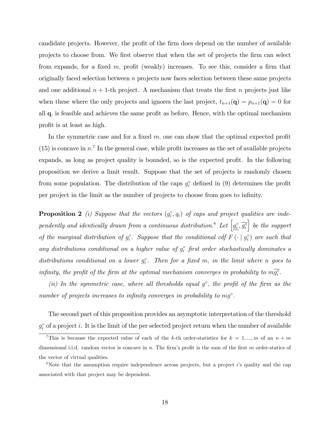candidate projects. However, the profit of the firm does depend on the number of available projects to choose from. We first observe that when the set of projects the firm can select from expands, for a fixed *m,* profit (weakly) increases. To see this, consider a firm that originally faced selection between *n* projects now faces selection between these same projects and one additional  $n + 1$ -th project. A mechanism that treats the first  $n$  projects just like when these where the only projects and ignores the last project,  $t_{n+1}(\mathbf{q}) = p_{n+1}(\mathbf{q}) = 0$  for all q*,* is feasible and achieves the same profit as before. Hence, with the optimal mechanism profit is at least as high.

In the symmetric case and for a fixed *m,* one can show that the optimal expected profit  $(15)$  is concave in  $n^7$ . In the general case, while profit increases as the set of available projects expands, as long as project quality is bounded, so is the expected profit. In the following proposition we derive a limit result. Suppose that the set of projects is randomly chosen from some population. The distribution of the caps  $g_i^{\circ}$  defined in (9) determines the profit per project in the limit as the number of projects to choose from goes to infinity.

**Proposition 2** (*i*) Suppose that the vectors  $(g_i^{\circ}, q_i)$  of caps and project qualities are independently and identically drawn from a continuous distribution.<sup>8</sup> Let  $\left[g_i^{\circ}, \overline{g_i^{\circ}}\right]$ i *be the support of the marginal distribution of*  $g_i^{\circ}$ *. Suppose that the conditional cdf*  $F(\cdot | g_i^{\circ})$  *are such that any distributions conditional on a higher value of*  $g_i^{\circ}$  *first order stochastically dominates a distributions conditional on a lower*  $g_i^{\circ}$ . Then for a fixed *m*, *in the limit where n* goes to *infinity, the profit of the firm at the optimal mechanism converges in probability to*  $m\overline{g_i^o}$ .

*(ii) In the symmetric case, where all thresholds equal*  $g^{\circ}$ *, the profit of the firm as the number of projects increases to infinity converges in probability to mg.*

The second part of this proposition provides an asymptotic interpretation of the threshold  $g_i^{\circ}$  of a project *i*. It is the limit of the per selected project return when the number of available

<sup>&</sup>lt;sup>7</sup>This is because the expected value of each of the *k*-th order-statistics for  $k = 1, ..., m$  of an  $n + m$ dimensional i.i.d. random vector is concave in *n.* The firm's profit is the sum of the first *m* order-statics of the vector of virtual qualities.

<sup>8</sup>Note that the assumption require independence across projects, but a project *i*'s quality and the cap associated with that project may be dependent.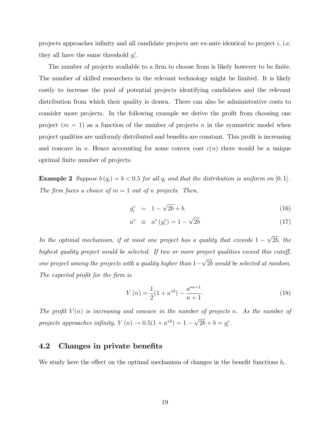projects approaches infinity and all candidate projects are ex-ante identical to project *i,* i.e. they all have the same threshold  $g_i^{\circ}$ .

The number of projects available to a firm to choose from is likely however to be finite. The number of skilled researchers in the relevant technology might be limited. It is likely costly to increase the pool of potential projects identifying candidates and the relevant distribution from which their quality is drawn. There can also be administrative costs to consider more projects. In the following example we derive the profit from choosing one project  $(m = 1)$  as a function of the number of projects *n* in the symmetric model when project qualities are uniformly distributed and benefits are constant. This profit is increasing and concave in *n*. Hence accounting for some convex cost  $c(n)$  there would be a unique optimal finite number of projects.

**Example 2** Suppose  $b(q_i) = b < 0.5$  for all  $q_i$  and that the distribution is uniform on  $[0, 1]$ . *The firm faces a choice of*  $m = 1$  *out of n projects. Then,* 

$$
g_i^{\circ} = 1 - \sqrt{2b} + b. \tag{16}
$$

$$
a^* \equiv a^* (g_i^{\circ}) = 1 - \sqrt{2b} \tag{17}
$$

*In the optimal mechanism, if at most one project has a quality that exceeds*  $1 - \sqrt{2b}$ , *the highest quality project would be selected. If two or more project qualities exceed this cutoff, one project among the projects with a quality higher than*  $1-\sqrt{2b}$  *would be selected at random. The expected profit for the firm is*

$$
V(n) = \frac{1}{2}(1 + a^{*2}) - \frac{a^{*n+1}}{n+1}.
$$
\n(18)

*The profit*  $V(n)$  *is increasing and concave in the number of projects n. As the number of projects approaches infinity,*  $V(n) \to 0.5(1 + a^{*2}) = 1 - \sqrt{2b} + b = g_i^{\circ}$ .

#### 4.2 Changes in private benefits

We study here the effect on the optimal mechanism of changes in the benefit functions  $b_i$ .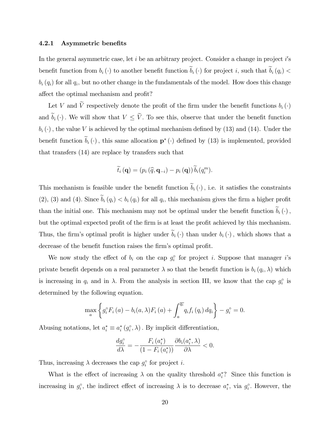#### 4.2.1 Asymmetric benefits

In the general asymmetric case, let *i* be an arbitrary project. Consider a change in project *i*'s benefit function from  $b_i(\cdot)$  to another benefit function  $\widetilde{b}_i(\cdot)$  for project *i*, such that  $\widetilde{b}_i(q_i)$  <  $b_i(q_i)$  for all  $q_i$ , but no other change in the fundamentals of the model. How does this change affect the optimal mechanism and profit?

Let *V* and  $\widetilde{V}$  respectively denote the profit of the firm under the benefit functions  $b_i(\cdot)$ and  $\tilde{b}_i(\cdot)$ . We will show that  $V \leq \tilde{V}$ . To see this, observe that under the benefit function  $b_i(\cdot)$ , the value *V* is achieved by the optimal mechanism defined by (13) and (14). Under the benefit function  $\widetilde{b}_i(\cdot)$ , this same allocation  $p^*(\cdot)$  defined by (13) is implemented, provided that transfers (14) are replace by transfers such that

$$
\widetilde{t}_i(\mathbf{q}) = (p_i(\widehat{q}, \mathbf{q}_{-i}) - p_i(\mathbf{q})) \widetilde{b}_i(q_i^m).
$$

This mechanism is feasible under the benefit function  $\tilde{b}_i(\cdot)$ , i.e. it satisfies the constraints  $(2)$ ,  $(3)$  and  $(4)$ *.* Since  $\widetilde{b}_i(q_i) < b_i(q_i)$  for all  $q_i$ , this mechanism gives the firm a higher profit than the initial one. This mechanism may not be optimal under the benefit function  $\widetilde{b}_i(\cdot)$ , but the optimal expected profit of the firm is at least the profit achieved by this mechanism. Thus, the firm's optimal profit is higher under  $\tilde{b}_i(\cdot)$  than under  $b_i(\cdot)$ , which shows that a decrease of the benefit function raises the firm's optimal profit.

We now study the effect of  $b_i$  on the cap  $g_i^{\circ}$  for project *i*. Suppose that manager *i*'s private benefit depends on a real parameter  $\lambda$  so that the benefit function is  $b_i(q_i, \lambda)$  which is increasing in  $q_i$  and in  $\lambda$ . From the analysis in section III, we know that the cap  $g_i^{\circ}$  is determined by the following equation.

$$
\max_{a} \left\{ g_i^{\circ} F_i(a) - b_i(a, \lambda) F_i(a) + \int_a^{\overline{q_i}} q_i f_i(q_i) dq_i \right\} - g_i^{\circ} = 0.
$$

Abusing notations, let  $a_i^* \equiv a_i^* (g_i^{\circ}, \lambda)$ . By implicit differentiation,

$$
\frac{dg_i^{\circ}}{d\lambda} = -\frac{F_i(a_i^*)}{\left(1 - F_i(a_i^*)\right)} \frac{\partial b_i(a_i^*, \lambda)}{\partial \lambda} < 0.
$$

Thus, increasing  $\lambda$  decreases the cap  $g_i^{\circ}$  for project *i*.

What is the effect of increasing  $\lambda$  on the quality threshold  $a_i^*$ ? Since this function is increasing in  $g_i^{\circ}$ , the indirect effect of increasing  $\lambda$  is to decrease  $a_i^*$ , via  $g_i^{\circ}$ . However, the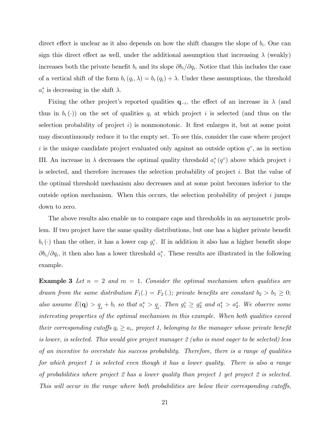direct effect is unclear as it also depends on how the shift changes the slope of  $b_i$ . One can sign this direct effect as well, under the additional assumption that increasing  $\lambda$  (weakly) increases both the private benefit  $b_i$  and its slope  $\partial b_i/\partial q_i$ . Notice that this includes the case of a vertical shift of the form  $b_i(q_i,\lambda) = b_i(q_i) + \lambda$ . Under these assumptions, the threshold  $a_i^*$  is decreasing in the shift  $\lambda$ .

Fixing the other project's reported qualities  $q_{-i}$ , the effect of an increase in  $\lambda$  (and thus in  $b_i(\cdot)$  on the set of qualities  $q_i$  at which project i is selected (and thus on the selection probability of project *i*) is nonmonotonic. It first enlarges it, but at some point may discontinuously reduce it to the empty set. To see this, consider the case where project *i* is the unique candidate project evaluated only against an outside option  $q^{\circ}$ , as in section III. An increase in  $\lambda$  decreases the optimal quality threshold  $a_i^*(q^{\circ})$  above which project *i* is selected, and therefore increases the selection probability of project *i.* But the value of the optimal threshold mechanism also decreases and at some point becomes inferior to the outside option mechanism. When this occurs, the selection probability of project *i* jumps down to zero.

The above results also enable us to compare caps and thresholds in an asymmetric problem. If two project have the same quality distributions, but one has a higher private benefit  $b_i(\cdot)$  than the other, it has a lower cap  $g_i^{\circ}$ . If in addition it also has a higher benefit slope  $\partial b_i/\partial q_i$ , it then also has a lower threshold  $a_i^*$ . These results are illustrated in the following example.

**Example 3** Let  $n = 2$  and  $m = 1$ . Consider the optimal mechanism when qualities are *drawn from the same distribution*  $F_1(.) = F_2(.)$ ; private benefits are constant  $b_2 > b_1 \geq 0$ ; also assume  $E(\mathbf{q}) > \underline{q}_i + b_i$  so that  $a_i^* > \underline{q}_i$ . Then  $g_1^{\circ} \ge g_2^{\circ}$  and  $a_1^* > a_2^*$ . We observe some *interesting properties of the optimal mechanism in this example. When both qualities exceed their corresponding cutoffs*  $q_i \geq a_i$ , *project* 1, belonging to the manager whose private benefit *is lower, is selected. This would give project manager 2 (who is most eager to be selected) less of an incentive to overstate his success probability. Therefore, there is a range of qualities for which project 1 is selected even though it has a lower quality. There is also a range of probabilities where project 2 has a lower quality than project 1 yet project 2 is selected. This will occur in the range where both probabilities are below their corresponding cutoffs,*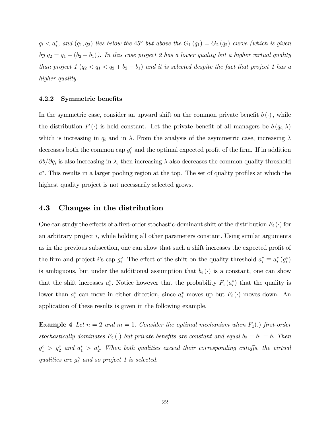$q_i < a_i^*$ , and  $(q_1, q_2)$  *lies below the* 45<sup>*o*</sup> *but above the*  $G_1(q_1) = G_2(q_2)$  *curve (which is given*) *by*  $q_2 = q_1 - (b_2 - b_1)$ *). In this case project 2 has a lower quality but a higher virtual quality than project 1*  $(q_2 < q_1 < q_2 + b_2 - b_1)$  *and it is selected despite the fact that project 1 has a higher quality.*

#### 4.2.2 Symmetric benefits

In the symmetric case, consider an upward shift on the common private benefit  $b(\cdot)$ , while the distribution  $F(\cdot)$  is held constant. Let the private benefit of all managers be  $b(q_i, \lambda)$ which is increasing in  $q_i$  and in  $\lambda$ . From the analysis of the asymmetric case, increasing  $\lambda$ decreases both the common cap  $g_i^{\circ}$  and the optimal expected profit of the firm. If in addition  $\partial b/\partial q_i$  is also increasing in  $\lambda$ , then increasing  $\lambda$  also decreases the common quality threshold *a.* This results in a larger pooling region at the top. The set of quality profiles at which the highest quality project is not necessarily selected grows.

#### 4.3 Changes in the distribution

One can study the effects of a first-order stochastic-dominant shift of the distribution  $F_i(\cdot)$  for an arbitrary project *i,* while holding all other parameters constant*.* Using similar arguments as in the previous subsection, one can show that such a shift increases the expected profit of the firm and project *i*'s cap  $g_i^{\circ}$ . The effect of the shift on the quality threshold  $a_i^* \equiv a_i^*(g_i^{\circ})$ is ambiguous, but under the additional assumption that  $b_i(\cdot)$  is a constant, one can show that the shift increases  $a_i^*$ . Notice however that the probability  $F_i(a_i^*)$  that the quality is lower than  $a_i^*$  can move in either direction, since  $a_i^*$  moves up but  $F_i(\cdot)$  moves down. An application of these results is given in the following example.

**Example 4** Let  $n = 2$  and  $m = 1$ . Consider the optimal mechanism when  $F_1(.)$  first-order *stochastically dominates*  $F_2(.)$  *but private benefits are constant and equal*  $b_2 = b_1 = b$ . Then  $g_1^{\circ} > g_2^{\circ}$  and  $a_1^* > a_2^*$ . When both qualities exceed their corresponding cutoffs, the virtual *qualities are*  $g_i^{\circ}$  *and so project 1 is selected.*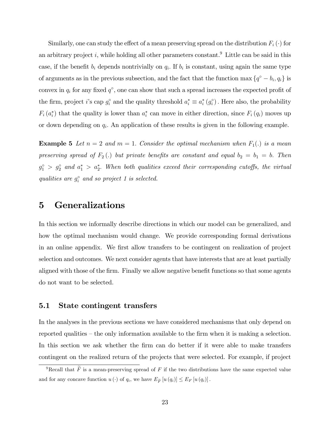Similarly, one can study the effect of a mean preserving spread on the distribution  $F_i(\cdot)$  for an arbitrary project  $i$ , while holding all other parameters constant.<sup>9</sup> Little can be said in this case, if the benefit  $b_i$  depends nontrivially on  $q_i$ . If  $b_i$  is constant, using again the same type of arguments as in the previous subsection, and the fact that the function max  $\{q^{\circ} - b_i, q_i\}$  is convex in  $q_i$  for any fixed  $q^{\circ}$ , one can show that such a spread increases the expected profit of the firm, project *i*'s cap  $g_i^{\circ}$  and the quality threshold  $a_i^* \equiv a_i^*(g_i^{\circ})$ . Here also, the probability  $F_i(a_i^*)$  that the quality is lower than  $a_i^*$  can move in either direction, since  $F_i(q_i)$  moves up or down depending on *qi.* An application of these results is given in the following example.

**Example 5** Let  $n = 2$  and  $m = 1$ . Consider the optimal mechanism when  $F_1(.)$  is a mean *preserving spread of*  $F_2(.)$  *but private benefits are constant and equal*  $b_2 = b_1 = b$ . Then  $g_1^{\circ} > g_2^{\circ}$  and  $a_1^* > a_2^*$ . When both qualities exceed their corresponding cutoffs, the virtual *qualities are*  $g_i^{\circ}$  *and so project 1 is selected.* 

# 5 Generalizations

In this section we informally describe directions in which our model can be generalized, and how the optimal mechanism would change. We provide corresponding formal derivations in an online appendix. We first allow transfers to be contingent on realization of project selection and outcomes. We next consider agents that have interests that are at least partially aligned with those of the firm. Finally we allow negative benefit functions so that some agents do not want to be selected.

#### 5.1 State contingent transfers

In the analyses in the previous sections we have considered mechanisms that only depend on reported qualities — the only information available to the firm when it is making a selection. In this section we ask whether the firm can do better if it were able to make transfers contingent on the realized return of the projects that were selected. For example, if project

<sup>&</sup>lt;sup>9</sup>Recall that  $\tilde{F}$  is a mean-preserving spread of  $F$  if the two distributions have the same expected value and for any concave function  $u(\cdot)$  of  $q_i$ , we have  $E_{\tilde{F}}[u(q_i)] \leq E_F[u(q_i)]$ .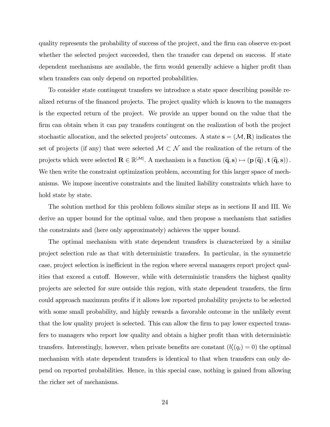quality represents the probability of success of the project, and the firm can observe ex-post whether the selected project succeeded, then the transfer can depend on success. If state dependent mechanisms are available, the firm would generally achieve a higher profit than when transfers can only depend on reported probabilities.

To consider state contingent transfers we introduce a state space describing possible realized returns of the financed projects. The project quality which is known to the managers is the expected return of the project. We provide an upper bound on the value that the firm can obtain when it can pay transfers contingent on the realization of both the project stochastic allocation, and the selected projects' outcomes. A state  $s = (\mathcal{M}, R)$  indicates the set of projects (if any) that were selected  $\mathcal{M} \subset \mathcal{N}$  and the realization of the return of the projects which were selected  $\mathbf{R} \in \mathbb{R}^{|\mathcal{M}|}$ . A mechanism is a function  $(\widehat{\mathbf{q}}, \mathbf{s}) \mapsto (\mathbf{p}(\widehat{\mathbf{q}}), \mathbf{t}(\widehat{\mathbf{q}}, \mathbf{s}))$ . We then write the constraint optimization problem, accounting for this larger space of mechanisms. We impose incentive constraints and the limited liability constraints which have to hold state by state.

The solution method for this problem follows similar steps as in sections II and III. We derive an upper bound for the optimal value, and then propose a mechanism that satisfies the constraints and (here only approximately) achieves the upper bound.

The optimal mechanism with state dependent transfers is characterized by a similar project selection rule as that with deterministic transfers. In particular, in the symmetric case, project selection is inefficient in the region where several managers report project qualities that exceed a cutoff. However, while with deterministic transfers the highest quality projects are selected for sure outside this region, with state dependent transfers, the firm could approach maximum profits if it allows low reported probability projects to be selected with some small probability, and highly rewards a favorable outcome in the unlikely event that the low quality project is selected. This can allow the firm to pay lower expected transfers to managers who report low quality and obtain a higher profit than with deterministic transfers. Interestingly, however, when private benefits are constant  $(b_i'(q_i) = 0)$  the optimal mechanism with state dependent transfers is identical to that when transfers can only depend on reported probabilities. Hence, in this special case, nothing is gained from allowing the richer set of mechanisms.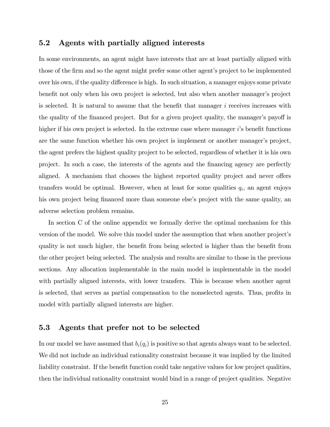### 5.2 Agents with partially aligned interests

In some environments, an agent might have interests that are at least partially aligned with those of the firm and so the agent might prefer some other agent's project to be implemented over his own, if the quality difference is high. In such situation, a manager enjoys some private benefit not only when his own project is selected, but also when another manager's project is selected. It is natural to assume that the benefit that manager *i* receives increases with the quality of the financed project. But for a given project quality, the manager's payoff is higher if his own project is selected. In the extreme case where manager *i*'s benefit functions are the same function whether his own project is implement or another manager's project, the agent prefers the highest quality project to be selected, regardless of whether it is his own project. In such a case, the interests of the agents and the financing agency are perfectly aligned. A mechanism that chooses the highest reported quality project and never offers transfers would be optimal. However, when at least for some qualities  $q_i$ , an agent enjoys his own project being financed more than someone else's project with the same quality, an adverse selection problem remains.

In section C of the online appendix we formally derive the optimal mechanism for this version of the model. We solve this model under the assumption that when another project's quality is not much higher, the benefit from being selected is higher than the benefit from the other project being selected. The analysis and results are similar to those in the previous sections. Any allocation implementable in the main model is implementable in the model with partially aligned interests, with lower transfers. This is because when another agent is selected, that serves as partial compensation to the nonselected agents. Thus, profits in model with partially aligned interests are higher.

#### 5.3 Agents that prefer not to be selected

In our model we have assumed that  $b_i(q_i)$  is positive so that agents always want to be selected. We did not include an individual rationality constraint because it was implied by the limited liability constraint. If the benefit function could take negative values for low project qualities, then the individual rationality constraint would bind in a range of project qualities. Negative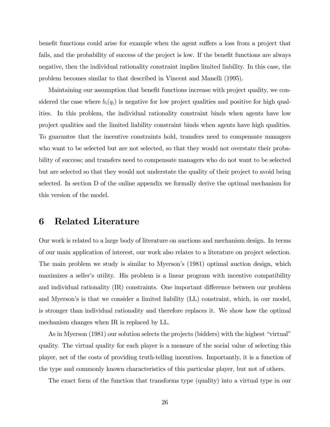benefit functions could arise for example when the agent suffers a loss from a project that fails, and the probability of success of the project is low. If the benefit functions are always negative, then the individual rationality constraint implies limited liability. In this case, the problem becomes similar to that described in Vincent and Manelli (1995).

Maintaining our assumption that benefit functions increase with project quality, we considered the case where  $b_i(q_i)$  is negative for low project qualities and positive for high qualities. In this problem, the individual rationality constraint binds when agents have low project qualities and the limited liability constraint binds when agents have high qualities. To guarantee that the incentive constraints hold, transfers need to compensate managers who want to be selected but are not selected, so that they would not overstate their probability of success; and transfers need to compensate managers who do not want to be selected but are selected so that they would not understate the quality of their project to avoid being selected. In section D of the online appendix we formally derive the optimal mechanism for this version of the model.

# 6 Related Literature

Our work is related to a large body of literature on auctions and mechanism design. In terms of our main application of interest, our work also relates to a literature on project selection. The main problem we study is similar to Myerson's (1981) optimal auction design, which maximizes a seller's utility. His problem is a linear program with incentive compatibility and individual rationality  $(IR)$  constraints. One important difference between our problem and Myerson's is that we consider a limited liability (LL) constraint, which, in our model, is stronger than individual rationality and therefore replaces it. We show how the optimal mechanism changes when IR is replaced by LL.

As in Myerson (1981) our solution selects the projects (bidders) with the highest "virtual" quality. The virtual quality for each player is a measure of the social value of selecting this player, net of the costs of providing truth-telling incentives. Importantly, it is a function of the type and commonly known characteristics of this particular player, but not of others.

The exact form of the function that transforms type (quality) into a virtual type in our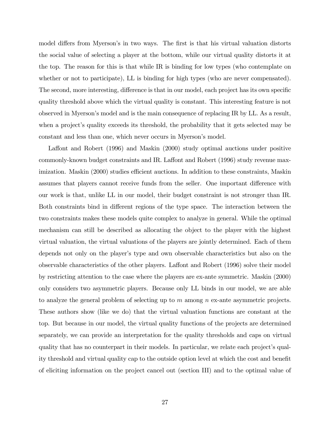model differs from Myerson's in two ways. The first is that his virtual valuation distorts the social value of selecting a player at the bottom, while our virtual quality distorts it at the top. The reason for this is that while IR is binding for low types (who contemplate on whether or not to participate), LL is binding for high types (who are never compensated). The second, more interesting, difference is that in our model, each project has its own specific quality threshold above which the virtual quality is constant. This interesting feature is not observed in Myerson's model and is the main consequence of replacing IR by LL. As a result, when a project's quality exceeds its threshold, the probability that it gets selected may be constant and less than one, which never occurs in Myerson's model.

Laffont and Robert (1996) and Maskin (2000) study optimal auctions under positive commonly-known budget constraints and IR. Laffont and Robert (1996) study revenue maximization. Maskin (2000) studies efficient auctions. In addition to these constraints, Maskin assumes that players cannot receive funds from the seller. One important difference with our work is that, unlike LL in our model, their budget constraint is not stronger than IR. Both constraints bind in different regions of the type space. The interaction between the two constraints makes these models quite complex to analyze in general. While the optimal mechanism can still be described as allocating the object to the player with the highest virtual valuation, the virtual valuations of the players are jointly determined. Each of them depends not only on the player's type and own observable characteristics but also on the observable characteristics of the other players. Laffont and Robert (1996) solve their model by restricting attention to the case where the players are ex-ante symmetric. Maskin (2000) only considers two asymmetric players. Because only LL binds in our model, we are able to analyze the general problem of selecting up to *m* among *n* ex-ante asymmetric projects. These authors show (like we do) that the virtual valuation functions are constant at the top. But because in our model, the virtual quality functions of the projects are determined separately, we can provide an interpretation for the quality thresholds and caps on virtual quality that has no counterpart in their models. In particular, we relate each project's quality threshold and virtual quality cap to the outside option level at which the cost and benefit of eliciting information on the project cancel out (section III) and to the optimal value of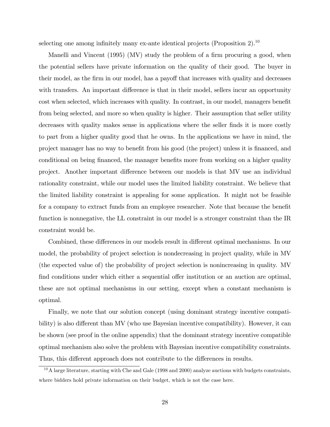selecting one among infinitely many ex-ante identical projects (Proposition 2).<sup>10</sup>

Manelli and Vincent (1995) (MV) study the problem of a firm procuring a good, when the potential sellers have private information on the quality of their good. The buyer in their model, as the firm in our model, has a payoff that increases with quality and decreases with transfers. An important difference is that in their model, sellers incur an opportunity cost when selected, which increases with quality. In contrast, in our model, managers benefit from being selected, and more so when quality is higher. Their assumption that seller utility decreases with quality makes sense in applications where the seller finds it is more costly to part from a higher quality good that he owns. In the applications we have in mind, the project manager has no way to benefit from his good (the project) unless it is financed, and conditional on being financed, the manager benefits more from working on a higher quality project. Another important difference between our models is that MV use an individual rationality constraint, while our model uses the limited liability constraint. We believe that the limited liability constraint is appealing for some application. It might not be feasible for a company to extract funds from an employee researcher. Note that because the benefit function is nonnegative, the LL constraint in our model is a stronger constraint than the IR constraint would be.

Combined, these differences in our models result in different optimal mechanisms. In our model, the probability of project selection is nondecreasing in project quality, while in MV (the expected value of) the probability of project selection is nonincreasing in quality. MV find conditions under which either a sequential offer institution or an auction are optimal, these are not optimal mechanisms in our setting, except when a constant mechanism is optimal.

Finally, we note that our solution concept (using dominant strategy incentive compatibility) is also different than MV (who use Bayesian incentive compatibility). However, it can be shown (see proof in the online appendix) that the dominant strategy incentive compatible optimal mechanism also solve the problem with Bayesian incentive compatibility constraints. Thus, this different approach does not contribute to the differences in results.

 $10A$  large literature, starting with Che and Gale (1998 and 2000) analyze auctions with budgets constraints, where bidders hold private information on their budget, which is not the case here.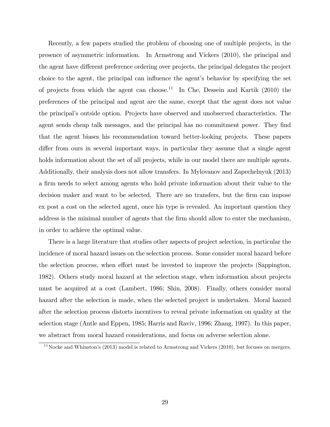Recently, a few papers studied the problem of choosing one of multiple projects, in the presence of asymmetric information. In Armstrong and Vickers (2010), the principal and the agent have different preference ordering over projects, the principal delegates the project choice to the agent, the principal can influence the agent's behavior by specifying the set of projects from which the agent can choose.<sup>11</sup> In Che, Dessein and Kartik  $(2010)$  the preferences of the principal and agent are the same, except that the agent does not value the principal's outside option. Projects have observed and unobserved characteristics. The agent sends cheap talk messages, and the principal has no commitment power. They find that the agent biases his recommendation toward better-looking projects. These papers differ from ours in several important ways, in particular they assume that a single agent holds information about the set of all projects, while in our model there are multiple agents. Additionally, their analysis does not allow transfers. In Mylovanov and Zapechelnyuk (2013) a firm needs to select among agents who hold private information about their value to the decision maker and want to be selected. There are no transfers, but the firm can impose ex post a cost on the selected agent, once his type is revealed. An important question they address is the minimal number of agents that the firm should allow to enter the mechanism, in order to achieve the optimal value.

There is a large literature that studies other aspects of project selection, in particular the incidence of moral hazard issues on the selection process. Some consider moral hazard before the selection process, when effort must be invested to improve the projects (Sappington, 1982). Others study moral hazard at the selection stage, when information about projects must be acquired at a cost (Lambert, 1986; Shin, 2008). Finally, others consider moral hazard after the selection is made, when the selected project is undertaken. Moral hazard after the selection process distorts incentives to reveal private information on quality at the selection stage (Antle and Eppen, 1985; Harris and Raviv, 1996; Zhang, 1997). In this paper, we abstract from moral hazard considerations, and focus on adverse selection alone.

 $11$ Nocke and Whinston's (2013) model is related to Armstrong and Vickers (2010), but focuses on mergers.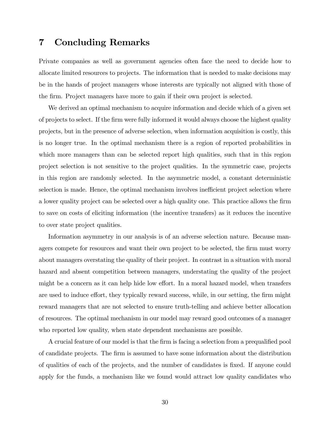# 7 Concluding Remarks

Private companies as well as government agencies often face the need to decide how to allocate limited resources to projects. The information that is needed to make decisions may be in the hands of project managers whose interests are typically not aligned with those of the firm. Project managers have more to gain if their own project is selected.

We derived an optimal mechanism to acquire information and decide which of a given set of projects to select. If the firm were fully informed it would always choose the highest quality projects, but in the presence of adverse selection, when information acquisition is costly, this is no longer true. In the optimal mechanism there is a region of reported probabilities in which more managers than can be selected report high qualities, such that in this region project selection is not sensitive to the project qualities. In the symmetric case, projects in this region are randomly selected. In the asymmetric model, a constant deterministic selection is made. Hence, the optimal mechanism involves inefficient project selection where a lower quality project can be selected over a high quality one. This practice allows the firm to save on costs of eliciting information (the incentive transfers) as it reduces the incentive to over state project qualities.

Information asymmetry in our analysis is of an adverse selection nature. Because managers compete for resources and want their own project to be selected, the firm must worry about managers overstating the quality of their project. In contrast in a situation with moral hazard and absent competition between managers, understating the quality of the project might be a concern as it can help hide low effort. In a moral hazard model, when transfers are used to induce effort, they typically reward success, while, in our setting, the firm might reward managers that are not selected to ensure truth-telling and achieve better allocation of resources. The optimal mechanism in our model may reward good outcomes of a manager who reported low quality, when state dependent mechanisms are possible.

A crucial feature of our model is that the firm is facing a selection from a prequalified pool of candidate projects. The firm is assumed to have some information about the distribution of qualities of each of the projects, and the number of candidates is fixed. If anyone could apply for the funds, a mechanism like we found would attract low quality candidates who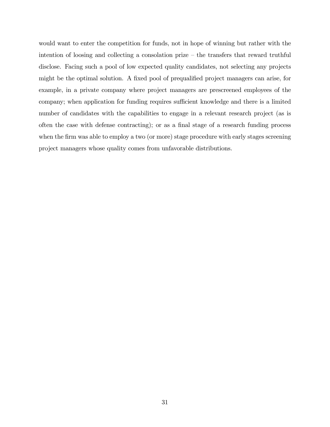would want to enter the competition for funds, not in hope of winning but rather with the intention of loosing and collecting a consolation prize — the transfers that reward truthful disclose. Facing such a pool of low expected quality candidates, not selecting any projects might be the optimal solution. A fixed pool of prequalified project managers can arise, for example, in a private company where project managers are prescreened employees of the company; when application for funding requires sufficient knowledge and there is a limited number of candidates with the capabilities to engage in a relevant research project (as is often the case with defense contracting); or as a final stage of a research funding process when the firm was able to employ a two (or more) stage procedure with early stages screening project managers whose quality comes from unfavorable distributions.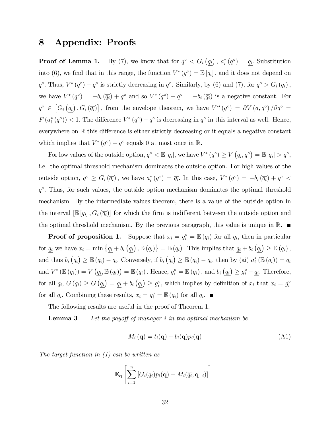# 8 Appendix: Proofs

**Proof of Lemma 1.** By (7), we know that for  $q^{\circ} < G_i(q_i)$ ,  $a_i^*(q^{\circ}) = q_i$ . Substitution into (6), we find that in this range, the function  $V^*(q^{\circ}) = \mathbb{E}[q_i]$ , and it does not depend on *q*<sup>°</sup>. Thus,  $V^*(q^{\circ}) - q^{\circ}$  is strictly decreasing in  $q^{\circ}$ . Similarly, by (6) and (7), for  $q^{\circ} > G_i(\overline{q_i})$ , we have  $V^*(q^{\circ}) = -b_i(\overline{q_i}) + q^{\circ}$  and so  $V^*(q^{\circ}) - q^{\circ} = -b_i(\overline{q_i})$  is a negative constant. For  $q^{\circ} \in [G_i(\underline{q_i}), G_i(\overline{q_i})]$ , from the envelope theorem, we have  $V^{*\prime}(q^{\circ}) = \partial V(a, q^{\circ})/\partial q^{\circ} =$  $F(a_i^*(q^{\circ})) < 1$ . The difference  $V^*(q^{\circ}) - q^{\circ}$  is decreasing in  $q^{\circ}$  in this interval as well. Hence, everywhere on  $\mathbb R$  this difference is either strictly decreasing or it equals a negative constant which implies that  $V^*(q^{\circ}) - q^{\circ}$  equals 0 at most once in R.

For low values of the outside option,  $q^{\circ} < \mathbb{E}[q_i]$ , we have  $V^*(q^{\circ}) \ge V(\underline{q_i}, q^{\circ}) = \mathbb{E}[q_i] > q^{\circ}$ , i.e. the optimal threshold mechanism dominates the outside option. For high values of the outside option,  $q^{\circ} \geq G_i(\overline{q_i})$ , we have  $a_i^*(q^{\circ}) = \overline{q_i}$ . In this case,  $V^*(q^{\circ}) = -b_i(\overline{q_i}) + q^{\circ} <$  $q<sup>o</sup>$ . Thus, for such values, the outside option mechanism dominates the optimal threshold mechanism. By the intermediate values theorem, there is a value of the outside option in the interval  $[\mathbb{E}[q_i], G_i(\overline{q_i})]$  for which the firm is indifferent between the outside option and the optimal threshold mechanism. By the previous paragraph, this value is unique in  $\mathbb{R}$ .

**Proof of proposition 1.** Suppose that  $x_i = g_i^{\circ} = \mathbb{E}(q_i)$  for all  $q_i$ , then in particular for  $\underline{q_i}$  we have  $x_i = \min \{ \underline{q_i} + b_i (\underline{q_i})$ ,  $\mathbb{E}(q_i) \} = \mathbb{E}(q_i)$ . This implies that  $\underline{q_i} + b_i (\underline{q_i}) \geq \mathbb{E}(q_i)$ , and thus  $b_i(q_i) \geq \mathbb{E}(q_i) - \underline{q_i}$ . Conversely, if  $b_i(q_i) \geq \mathbb{E}(q_i) - \underline{q_i}$ , then by (ai)  $a_i^* (\mathbb{E}(q_i)) = \underline{q_i}$ and  $V^* (\mathbb{E}(q_i)) = V (q_i, \mathbb{E}(q_i)) = \mathbb{E}(q_i)$ . Hence,  $g_i^{\circ} = \mathbb{E}(q_i)$ , and  $b_i (q_i) \ge g_i^{\circ} - \underline{q_i}$ . Therefore, for all  $q_i$ ,  $G(q_i) \ge G(q_i) = \underline{q_i} + b_i (q_i) \ge g_i^{\circ}$ , which implies by definition of  $x_i$  that  $x_i = g_i^{\circ}$ for all  $q_i$ . Combining these results,  $x_i = g_i^{\circ} = \mathbb{E}(q_i)$  for all  $q_i$ .

The following results are useful in the proof of Theorem 1.

**Lemma 3** Let the payoff of manager *i* in the optimal mechanism be

$$
M_i(\mathbf{q}) = t_i(\mathbf{q}) + b_i(\mathbf{q})p_i(\mathbf{q})
$$
\n(A1)

*The target function in (1) can be written as*

$$
\mathbb{E}_{\mathbf{q}}\left[\sum_{i=1}^n \left[G_i(q_i)p_i(\mathbf{q}) - M_i(\overline{q_i}, \mathbf{q}_{-i})\right]\right].
$$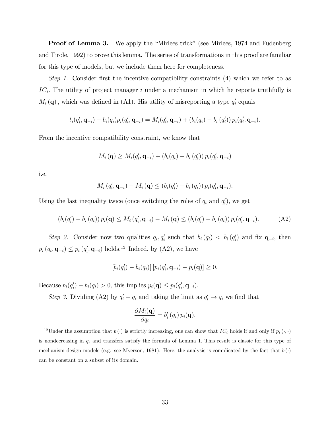Proof of Lemma 3. We apply the "Mirlees trick" (see Mirlees, 1974 and Fudenberg and Tirole, 1992) to prove this lemma. The series of transformations in this proof are familiar for this type of models, but we include them here for completeness.

*Step 1.* Consider first the incentive compatibility constraints (4) which we refer to as *ICi.* The utility of project manager *i* under a mechanism in which he reports truthfully is  $M_i(\mathbf{q})$ , which was defined in (A1). His utility of misreporting a type  $q_i'$  equals

$$
t_i(q'_i, \mathbf{q}_{-i}) + b_i(q_i)p_i(q'_i, \mathbf{q}_{-i}) = M_i(q'_i, \mathbf{q}_{-i}) + (b_i(q_i) - b_i(q'_i)) p_i(q'_i, \mathbf{q}_{-i}).
$$

From the incentive compatibility constraint, we know that

$$
M_i(\mathbf{q}) \ge M_i(q'_i, \mathbf{q}_{-i}) + (b_i(q_i) - b_i(q'_i)) p_i(q'_i, \mathbf{q}_{-i})
$$

i.e.

$$
M_i (q'_i, \mathbf{q}_{-i}) - M_i (\mathbf{q}) \le (b_i (q'_i) - b_i (q_i)) p_i (q'_i, \mathbf{q}_{-i}).
$$

Using the last inequality twice (once switching the roles of  $q_i$  and  $q'_i$ ), we get

$$
(b_i(q'_i) - b_i(q_i)) p_i(\mathbf{q}) \le M_i (q'_i, \mathbf{q}_{-i}) - M_i (\mathbf{q}) \le (b_i(q'_i) - b_i(q_i)) p_i(q'_i, \mathbf{q}_{-i}).
$$
 (A2)

*Step 2.* Consider now two qualities  $q_i, q'_i$  such that  $b_i(q_i) < b_i(q'_i)$  and fix  $q_{-i}$ , then  $p_i(q_i, \mathbf{q}_{-i}) \leq p_i(q_i', \mathbf{q}_{-i})$  holds.<sup>12</sup> Indeed, by (A2), we have

$$
[b_i(q'_i)-b_i(q_i)] [p_i(q'_i,\mathbf{q}_{-i})-p_i(\mathbf{q})] \geq 0.
$$

Because  $b_i(q_i') - b_i(q_i) > 0$ , this implies  $p_i(\mathbf{q}) \leq p_i(q_i', \mathbf{q}_{-i})$ .

*Step 3.* Dividing (A2) by  $q'_i - q_i$  and taking the limit as  $q'_i \rightarrow q_i$  we find that

$$
\frac{\partial M_i(\mathbf{q})}{\partial q_i} = b'_i(q_i) \, p_i(\mathbf{q}).
$$

<sup>&</sup>lt;sup>12</sup>Under the assumption that  $b(\cdot)$  is strictly increasing, one can show that  $IC_i$  holds if and only if  $p_i(\cdot, \cdot)$ is nondecreasing in *q<sup>i</sup>* and transfers satisfy the formula of Lemma 1*.* This result is classic for this type of mechanism design models (e.g. see Myerson, 1981). Here, the analysis is complicated by the fact that  $b(\cdot)$ can be constant on a subset of its domain.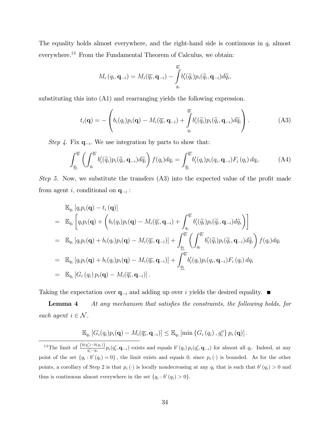The equality holds almost everywhere, and the right-hand side is continuous in *q<sup>i</sup>* almost everywhere.<sup>13</sup> From the Fundamental Theorem of Calculus, we obtain:

$$
M_i\left(q_i,\mathbf{q}_{-i}\right)=M_i(\overline{q_i},\mathbf{q}_{-i})-\int\limits_{q_i}^{\overline{q_i}}b_i'(\widetilde{q_i})p_i(\widetilde{q_i},\mathbf{q}_{-i})d\widetilde{q_i},
$$

substituting this into (A1) and rearranging yields the following expression.

$$
t_i(\mathbf{q}) = -\left(b_i(q_i)p_i(\mathbf{q}) - M_i(\overline{q_i}, \mathbf{q}_{-i}) + \int_{q_i}^{\overline{q_i}} b'_i(\widetilde{q_i})p_i(\widetilde{q_i}, \mathbf{q}_{-i})d\widetilde{q_i}\right).
$$
(A3)

*Step 4.* Fix  $\mathbf{q}_{-i}$ . We use integration by parts to show that:

$$
\int_{\underline{q_i}}^{\overline{q_i}} \left( \int_{q_i}^{\overline{q_i}} b_i'(\widetilde{q_i}) p_i(\widetilde{q_i}, \mathbf{q}_{-i}) d\widetilde{q_i} \right) f(q_i) dq_i = \int_{\underline{q_i}}^{\overline{q_i}} b_i'(q_i) p_i(q_i, \mathbf{q}_{-i}) F_i(q_i) dq_i.
$$
 (A4)

*Step 5.* Now, we substitute the transfers (A3) into the expected value of the profit made from agent *i*, conditional on  $\mathbf{q}_{-i}$ :

$$
\mathbb{E}_{q_i} [q_i p_i(\mathbf{q}) - t_i (\mathbf{q})]
$$
\n
$$
= \mathbb{E}_{q_i} \left[ q_i p_i(\mathbf{q}) + \left( b_i (q_i) p_i(\mathbf{q}) - M_i (\overline{q_i}, \mathbf{q}_{-i}) + \int_{q_i}^{\overline{q_i}} b'_i (\widetilde{q}_i) p_i (\widetilde{q}_i, \mathbf{q}_{-i}) d\widetilde{q}_i \right) \right]
$$
\n
$$
= \mathbb{E}_{q_i} [q_i p_i(\mathbf{q}) + b_i (q_i) p_i(\mathbf{q}) - M_i (\overline{q_i}, \mathbf{q}_{-i})] + \int_{q_i}^{\overline{q_i}} \left( \int_{q_i}^{\overline{q_i}} b'_i (\widetilde{q}_i) p_i (\widetilde{q}_i, \mathbf{q}_{-i}) d\widetilde{q}_i \right) f(q_i) dq_i
$$
\n
$$
= \mathbb{E}_{q_i} [q_i p_i(\mathbf{q}) + b_i (q_i) p_i(\mathbf{q}) - M_i (\overline{q_i}, \mathbf{q}_{-i})] + \int_{q_i}^{\overline{q_i}} b'_i (q_i) p_i (q_i, \mathbf{q}_{-i}) F_i (q_i) dq_i
$$
\n
$$
= \mathbb{E}_{q_i} [G_i (q_i) p_i(\mathbf{q}) - M_i (\overline{q_i}, \mathbf{q}_{-i})].
$$

Taking the expectation over  $\mathbf{q}_{-i}$  and adding up over *i* yields the desired equality.

Lemma 4 *At any mechanism that satisfies the constraints, the following holds, for each agent*  $i \in \mathcal{N}$ *.* 

$$
\mathbb{E}_{q_i}\left[G_i(q_i)p_i(\mathbf{q})-M_i(\overline{q_i},\mathbf{q}_{-i})\right] \leq \mathbb{E}_{q_i}\left[\min\left\{G_i(q_i),g_i^o\right\}p_i\left(\mathbf{q}\right)\right].
$$

<sup>13</sup>The limit of  $\frac{(b(q_i')-b(q_i))}{q_i'-q_i}p_i(q_i',\mathbf{q}_{-i})$  exists and equals  $b'(q_i)p_i(q_i',\mathbf{q}_{-i})$  for almost all  $q_i$ . Indeed, at any point of the set  $\{q_i : b'(q_i) = 0\}$ , the limit exists and equals 0, since  $p_i(\cdot)$  is bounded. As for the other points, a corollary of Step 2 is that  $p_i(\cdot)$  is locally nondecreasing at any  $q_i$  that is such that  $b'(q_i) > 0$  and thus is continuous almost everywhere in the set  $\{q_i : b'(q_i) > 0\}.$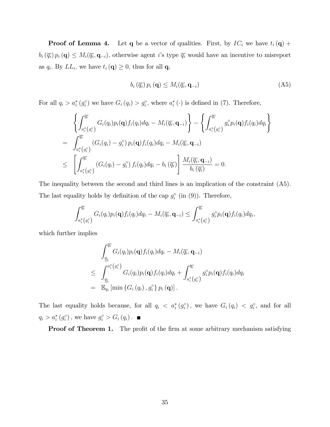**Proof of Lemma 4.** Let **q** be a vector of qualities. First, by  $IC_i$  we have  $t_i(\mathbf{q})$  +  $b_i(\overline{q_i}) p_i(\mathbf{q}) \leq M_i(\overline{q_i}, \mathbf{q}_{-i})$ , otherwise agent *i*'s type  $\overline{q_i}$  would have an incentive to misreport as  $q_i$ . By  $LL_i$ , we have  $t_i(\mathbf{q}) \geq 0$ , thus for all **q**,

$$
b_i\left(\overline{q_i}\right)p_i\left(\mathbf{q}\right) \le M_i\left(\overline{q_i}, \mathbf{q}_{-i}\right) \tag{A5}
$$

For all  $q_i > a_i^* (g_i^{\circ})$  we have  $G_i (q_i) > g_i^{\circ}$ , where  $a_i^* (\cdot)$  is defined in (7). Therefore,

$$
\left\{\int_{a_i^*(g_i^{\circ})}^{\overline{q_i}} G_i(q_i)p_i(\mathbf{q})f_i(q_i)dq_i - M_i(\overline{q_i}, \mathbf{q}_{-i})\right\} - \left\{\int_{a_i^*(g_i^{\circ})}^{\overline{q_i}} g_i^{\circ}p_i(\mathbf{q})f_i(q_i)dq_i\right\}
$$
\n
$$
= \int_{a_i^*(g_i^{\circ})}^{\overline{q_i}} (G_i(q_i) - g_i^{\circ}) p_i(\mathbf{q})f_i(q_i)dq_i - M_i(\overline{q_i}, \mathbf{q}_{-i})
$$
\n
$$
\leq \left[\int_{a_i^*(g_i^{\circ})}^{\overline{q_i}} (G_i(q_i) - g_i^{\circ}) f_i(q_i)dq_i - b_i(\overline{q_i})\right] \frac{M_i(\overline{q_i}, \mathbf{q}_{-i})}{b_i(\overline{q_i})} = 0.
$$

The inequality between the second and third lines is an implication of the constraint (A5)*.* The last equality holds by definition of the cap  $g_i^{\circ}$  (in (9)). Therefore,

$$
\int_{a_i^* (g_i^{\circ})}^{\overline{q_i}} G_i(q_i) p_i(\mathbf{q}) f_i(q_i) dq_i - M_i(\overline{q_i}, \mathbf{q}_{-i}) \leq \int_{a_i^* (g_i^{\circ})}^{\overline{q_i}} g_i^{\circ} p_i(\mathbf{q}) f_i(q_i) dq_i,
$$

which further implies

$$
\int_{\underline{q_i}}^{\overline{q_i}} G_i(q_i) p_i(\mathbf{q}) f_i(q_i) dq_i - M_i(\overline{q_i}, \mathbf{q}_{-i})
$$
\n
$$
\leq \int_{\underline{q_i}}^{a_i^*(g_i^{\circ})} G_i(q_i) p_i(\mathbf{q}) f_i(q_i) dq_i + \int_{a_i^*(g_i^{\circ})}^{\overline{q_i}} g_i^{\circ} p_i(\mathbf{q}) f_i(q_i) dq_i
$$
\n
$$
= \mathbb{E}_{q_i} [\min \{G_i(q_i), g_i^{\circ}\} p_i(\mathbf{q})].
$$

The last equality holds because, for all  $q_i < a_i^*(g_i^{\circ})$ , we have  $G_i(q_i) < g_i^{\circ}$ , and for all  $q_i > a_i^* (g_i^{\circ})$ , we have  $g_i^{\circ} > G_i (q_i)$ .

**Proof of Theorem 1.** The profit of the firm at some arbitrary mechanism satisfying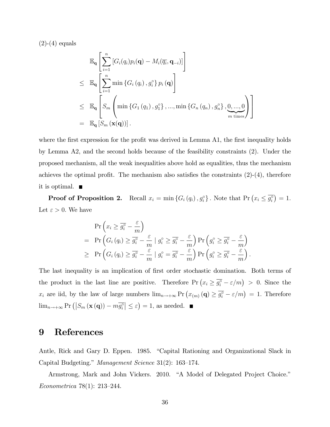$(2)-(4)$  equals

$$
\mathbb{E}_{\mathbf{q}}\left[\sum_{i=1}^{n}\left[G_{i}(q_{i})p_{i}(\mathbf{q})-M_{i}(\overline{q_{i}},\mathbf{q}_{-i})\right]\right]
$$
\n
$$
\leq \mathbb{E}_{\mathbf{q}}\left[\sum_{i=1}^{n}\min\left\{G_{i}(q_{i}), g_{i}^{\circ}\right\} p_{i}(\mathbf{q})\right]
$$
\n
$$
\leq \mathbb{E}_{\mathbf{q}}\left[S_{m}\left(\min\left\{G_{1}(q_{1}), g_{1}^{\circ}\right\}, \dots, \min\left\{G_{n}(q_{n}), g_{n}^{\circ}\right\}, \underbrace{0, \dots, 0}_{m \text{ times}}\right)\right]
$$
\n
$$
= \mathbb{E}_{\mathbf{q}}\left[S_{m}(\mathbf{x}(\mathbf{q}))\right].
$$

where the first expression for the profit was derived in Lemma A1, the first inequality holds by Lemma A2, and the second holds because of the feasibility constraints (2). Under the proposed mechanism, all the weak inequalities above hold as equalities, thus the mechanism achieves the optimal profit. The mechanism also satisfies the constraints  $(2)-(4)$ , therefore it is optimal.

**Proof of Proposition 2.** Recall  $x_i = \min \{ G_i(q_i), g_i^{\circ} \}$ . Note that  $\Pr(x_i \leq \overline{g_i^{\circ}}) = 1$ . Let  $\varepsilon > 0$ . We have

$$
\Pr\left(x_i \geq \overline{g_i^{\circ}} - \frac{\varepsilon}{m}\right)
$$
\n
$$
= \Pr\left(G_i\left(q_i\right) \geq \overline{g_i^{\circ}} - \frac{\varepsilon}{m} \mid g_i^{\circ} \geq \overline{g_i^{\circ}} - \frac{\varepsilon}{m}\right) \Pr\left(g_i^{\circ} \geq \overline{g_i^{\circ}} - \frac{\varepsilon}{m}\right)
$$
\n
$$
\geq \Pr\left(G_i\left(q_i\right) \geq \overline{g_i^{\circ}} - \frac{\varepsilon}{m} \mid g_i^{\circ} = \overline{g_i^{\circ}} - \frac{\varepsilon}{m}\right) \Pr\left(g_i^{\circ} \geq \overline{g_i^{\circ}} - \frac{\varepsilon}{m}\right).
$$

The last inequality is an implication of first order stochastic domination. Both terms of the product in the last line are positive. Therefore  $Pr(x_i \ge \overline{g_i^{\circ}} - \varepsilon/m) > 0$ . Since the *x<sub>i</sub>* are iid, by the law of large numbers  $\lim_{n\to+\infty} \Pr(x_{(m)}(q) \geq \overline{g_i^{\circ}} - \varepsilon/m) = 1$ . Therefore  $\lim_{n\to+\infty}$  Pr  $(|S_m(\mathbf{x}(\mathbf{q})) - m\overline{g_i^{\circ}}| \leq \varepsilon) = 1$ , as needed.

# 9 References

Antle, Rick and Gary D. Eppen. 1985. "Capital Rationing and Organizational Slack in Capital Budgeting." *Management Science* 31(2): 163—174.

Armstrong, Mark and John Vickers. 2010. "A Model of Delegated Project Choice." *Econometrica* 78(1): 213—244.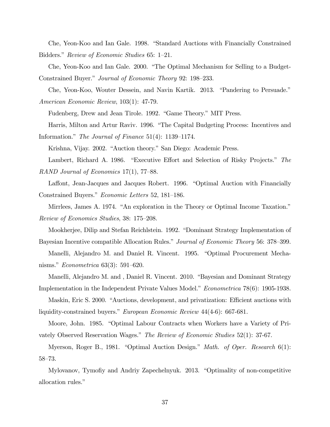Che, Yeon-Koo and Ian Gale. 1998. "Standard Auctions with Financially Constrained Bidders." *Review of Economic Studies* 65: 1—21.

Che, Yeon-Koo and Ian Gale. 2000. "The Optimal Mechanism for Selling to a Budget-Constrained Buyer." *Journal of Economic Theory* 92: 198—233.

Che, Yeon-Koo, Wouter Dessein, and Navin Kartik. 2013. "Pandering to Persuade." *American Economic Review*, 103(1): 47-79.

Fudenberg, Drew and Jean Tirole. 1992. "Game Theory." MIT Press.

Harris, Milton and Artur Raviv. 1996. "The Capital Budgeting Process: Incentives and Information." *The Journal of Finance* 51(4): 1139—1174.

Krishna, Vijay. 2002. "Auction theory." San Diego: Academic Press.

Lambert, Richard A. 1986. "Executive Effort and Selection of Risky Projects." *The RAND Journal of Economics* 17(1), 77—88.

Laffont, Jean-Jacques and Jacques Robert. 1996. "Optimal Auction with Financially Constrained Buyers." *Economic Letters* 52, 181—186.

Mirrlees, James A. 1974. "An exploration in the Theory or Optimal Income Taxation." *Review of Economics Studies*, 38: 175—208.

Mookherjee, Dilip and Stefan Reichlstein. 1992. "Dominant Strategy Implementation of Bayesian Incentive compatible Allocation Rules." *Journal of Economic Theory* 56: 378—399.

Manelli, Alejandro M. and Daniel R. Vincent. 1995. "Optimal Procurement Mechanisms." *Econometrica* 63(3): 591—620.

Manelli, Alejandro M. and , Daniel R. Vincent. 2010. "Bayesian and Dominant Strategy Implementation in the Independent Private Values Model." *Econometrica* 78(6): 1905-1938.

Maskin, Eric S. 2000. "Auctions, development, and privatization: Efficient auctions with liquidity-constrained buyers." *European Economic Review* 44(4-6): 667-681.

Moore, John. 1985. "Optimal Labour Contracts when Workers have a Variety of Privately Observed Reservation Wages." *The Review of Economic Studies* 52(1): 37-67.

Myerson, Roger B., 1981. "Optimal Auction Design." *Math. of Oper. Research* 6(1): 58—73.

Mylovanov, Tymofiy and Andriy Zapechelnyuk. 2013. "Optimality of non-competitive allocation rules."